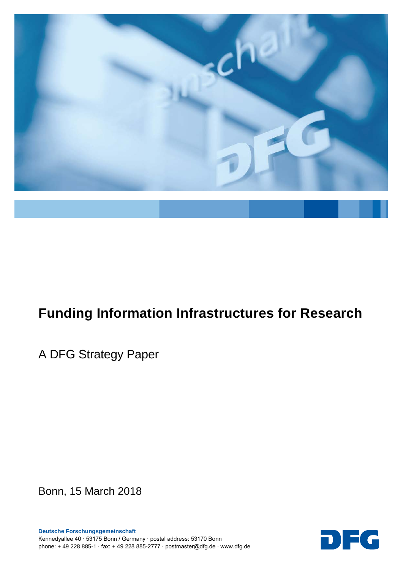

# **Funding Information Infrastructures for Research**

A DFG Strategy Paper

Bonn, 15 March 2018

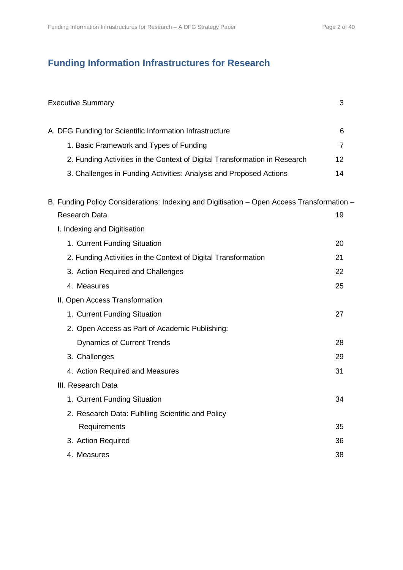# **Funding Information Infrastructures for Research**

| <b>Executive Summary</b>                                                                   | 3              |
|--------------------------------------------------------------------------------------------|----------------|
| A. DFG Funding for Scientific Information Infrastructure                                   | 6              |
| 1. Basic Framework and Types of Funding                                                    | $\overline{7}$ |
| 2. Funding Activities in the Context of Digital Transformation in Research                 | 12             |
| 3. Challenges in Funding Activities: Analysis and Proposed Actions                         | 14             |
| B. Funding Policy Considerations: Indexing and Digitisation - Open Access Transformation - |                |
| <b>Research Data</b>                                                                       | 19             |
| I. Indexing and Digitisation                                                               |                |
| 1. Current Funding Situation                                                               | 20             |
| 2. Funding Activities in the Context of Digital Transformation                             | 21             |
| 3. Action Required and Challenges                                                          | 22             |
| 4. Measures                                                                                | 25             |
| II. Open Access Transformation                                                             |                |
| 1. Current Funding Situation                                                               | 27             |
| 2. Open Access as Part of Academic Publishing:                                             |                |
| <b>Dynamics of Current Trends</b>                                                          | 28             |
| 3. Challenges                                                                              | 29             |
| 4. Action Required and Measures                                                            | 31             |
| III. Research Data                                                                         |                |
| 1. Current Funding Situation                                                               | 34             |
| 2. Research Data: Fulfilling Scientific and Policy                                         |                |
| Requirements                                                                               | 35             |
| 3. Action Required                                                                         | 36             |
| 4. Measures                                                                                | 38             |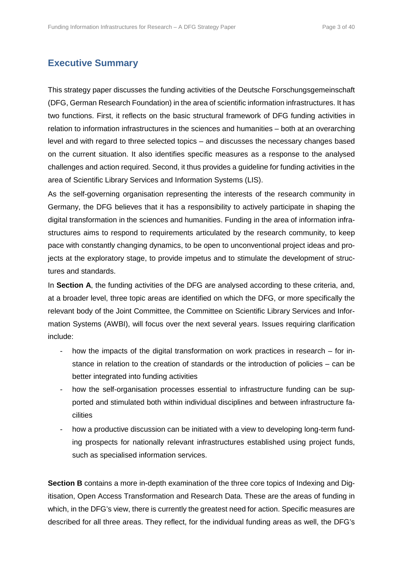# **Executive Summary**

This strategy paper discusses the funding activities of the Deutsche Forschungsgemeinschaft (DFG, German Research Foundation) in the area of scientific information infrastructures. It has two functions. First, it reflects on the basic structural framework of DFG funding activities in relation to information infrastructures in the sciences and humanities – both at an overarching level and with regard to three selected topics – and discusses the necessary changes based on the current situation. It also identifies specific measures as a response to the analysed challenges and action required. Second, it thus provides a guideline for funding activities in the area of Scientific Library Services and Information Systems (LIS).

As the self-governing organisation representing the interests of the research community in Germany, the DFG believes that it has a responsibility to actively participate in shaping the digital transformation in the sciences and humanities. Funding in the area of information infrastructures aims to respond to requirements articulated by the research community, to keep pace with constantly changing dynamics, to be open to unconventional project ideas and projects at the exploratory stage, to provide impetus and to stimulate the development of structures and standards.

In **Section A**, the funding activities of the DFG are analysed according to these criteria, and, at a broader level, three topic areas are identified on which the DFG, or more specifically the relevant body of the Joint Committee, the Committee on Scientific Library Services and Information Systems (AWBI), will focus over the next several years. Issues requiring clarification include:

- how the impacts of the digital transformation on work practices in research for instance in relation to the creation of standards or the introduction of policies – can be better integrated into funding activities
- how the self-organisation processes essential to infrastructure funding can be supported and stimulated both within individual disciplines and between infrastructure facilities
- how a productive discussion can be initiated with a view to developing long-term funding prospects for nationally relevant infrastructures established using project funds, such as specialised information services.

**Section B** contains a more in-depth examination of the three core topics of Indexing and Digitisation, Open Access Transformation and Research Data. These are the areas of funding in which, in the DFG's view, there is currently the greatest need for action. Specific measures are described for all three areas. They reflect, for the individual funding areas as well, the DFG's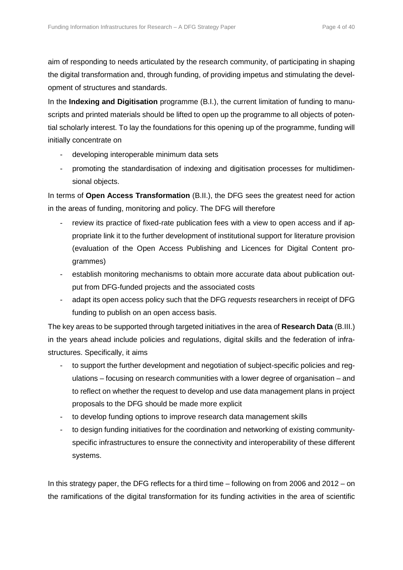aim of responding to needs articulated by the research community, of participating in shaping the digital transformation and, through funding, of providing impetus and stimulating the development of structures and standards.

In the **Indexing and Digitisation** programme (B.I.), the current limitation of funding to manuscripts and printed materials should be lifted to open up the programme to all objects of potential scholarly interest. To lay the foundations for this opening up of the programme, funding will initially concentrate on

- developing interoperable minimum data sets
- promoting the standardisation of indexing and digitisation processes for multidimensional objects.

In terms of **Open Access Transformation** (B.II.), the DFG sees the greatest need for action in the areas of funding, monitoring and policy. The DFG will therefore

- review its practice of fixed-rate publication fees with a view to open access and if appropriate link it to the further development of institutional support for literature provision (evaluation of the Open Access Publishing and Licences for Digital Content programmes)
- establish monitoring mechanisms to obtain more accurate data about publication output from DFG-funded projects and the associated costs
- adapt its open access policy such that the DFG *requests* researchers in receipt of DFG funding to publish on an open access basis.

The key areas to be supported through targeted initiatives in the area of **Research Data** (B.III.) in the years ahead include policies and regulations, digital skills and the federation of infrastructures. Specifically, it aims

- to support the further development and negotiation of subject-specific policies and regulations – focusing on research communities with a lower degree of organisation – and to reflect on whether the request to develop and use data management plans in project proposals to the DFG should be made more explicit
- to develop funding options to improve research data management skills
- to design funding initiatives for the coordination and networking of existing communityspecific infrastructures to ensure the connectivity and interoperability of these different systems.

In this strategy paper, the DFG reflects for a third time – following on from 2006 and 2012 – on the ramifications of the digital transformation for its funding activities in the area of scientific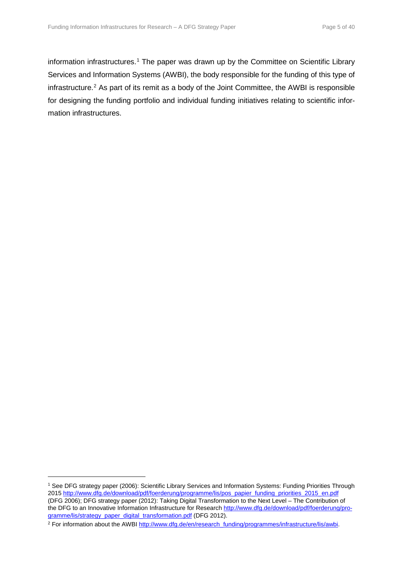information infrastructures.<sup>[1](#page-4-0)</sup> The paper was drawn up by the Committee on Scientific Library Services and Information Systems (AWBI), the body responsible for the funding of this type of infrastructure.[2](#page-4-1) As part of its remit as a body of the Joint Committee, the AWBI is responsible for designing the funding portfolio and individual funding initiatives relating to scientific information infrastructures.

<span id="page-4-0"></span><sup>1</sup> See DFG strategy paper (2006): Scientific Library Services and Information Systems: Funding Priorities Through 2015 [http://www.dfg.de/download/pdf/foerderung/programme/lis/pos\\_papier\\_funding\\_priorities\\_2015\\_en.pdf](http://www.dfg.de/download/pdf/foerderung/programme/lis/pos_papier_funding_priorities_2015_en.pdf) (DFG 2006); DFG strategy paper (2012): Taking Digital Transformation to the Next Level – The Contribution of the DFG to an Innovative Information Infrastructure for Researc[h http://www.dfg.de/download/pdf/foerderung/pro](http://www.dfg.de/download/pdf/foerderung/programme/lis/strategy_paper_digital_transformation.pdf)[gramme/lis/strategy\\_paper\\_digital\\_transformation.pdf](http://www.dfg.de/download/pdf/foerderung/programme/lis/strategy_paper_digital_transformation.pdf) (DFG 2012).

<span id="page-4-1"></span><sup>&</sup>lt;sup>2</sup> For information about the AWBI [http://www.dfg.de/en/research\\_funding/programmes/infrastructure/lis/awbi.](http://www.dfg.de/en/research_funding/programmes/infrastructure/lis/awbi/index.html)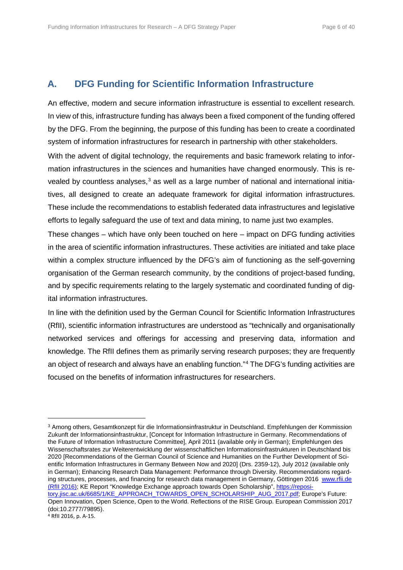# **A. DFG Funding for Scientific Information Infrastructure**

An effective, modern and secure information infrastructure is essential to excellent research. In view of this, infrastructure funding has always been a fixed component of the funding offered by the DFG. From the beginning, the purpose of this funding has been to create a coordinated system of information infrastructures for research in partnership with other stakeholders.

With the advent of digital technology, the requirements and basic framework relating to information infrastructures in the sciences and humanities have changed enormously. This is re-vealed by countless analyses,<sup>[3](#page-5-0)</sup> as well as a large number of national and international initiatives, all designed to create an adequate framework for digital information infrastructures. These include the recommendations to establish federated data infrastructures and legislative efforts to legally safeguard the use of text and data mining, to name just two examples.

These changes – which have only been touched on here – impact on DFG funding activities in the area of scientific information infrastructures. These activities are initiated and take place within a complex structure influenced by the DFG's aim of functioning as the self-governing organisation of the German research community, by the conditions of project-based funding, and by specific requirements relating to the largely systematic and coordinated funding of digital information infrastructures.

In line with the definition used by the German Council for Scientific Information Infrastructures (RfII), scientific information infrastructures are understood as "technically and organisationally networked services and offerings for accessing and preserving data, information and knowledge. The RfII defines them as primarily serving research purposes; they are frequently an object of research and always have an enabling function."[4](#page-5-1) The DFG's funding activities are focused on the benefits of information infrastructures for researchers.

<span id="page-5-1"></span><span id="page-5-0"></span><sup>3</sup> Among others, Gesamtkonzept für die Informationsinfrastruktur in Deutschland. Empfehlungen der Kommission Zukunft der Informationsinfrastruktur, [Concept for Information Infrastructure in Germany. Recommendations of the Future of Information Infrastructure Committee], April 2011 (available only in German); Empfehlungen des Wissenschaftsrates zur Weiterentwicklung der wissenschaftlichen Informationsinfrastrukturen in Deutschland bis 2020 [Recommendations of the German Council of Science and Humanities on the Further Development of Scientific Information Infrastructures in Germany Between Now and 2020] (Drs. 2359-12), July 2012 (available only in German); Enhancing Research Data Management: Performance through Diversity. Recommendations regarding structures, processes, and financing for research data management in Germany, Göttingen 2016 [www.rfii.de](http://www.rfii.de/) (RfII 2016); KE Report "Knowledge Exchange approach towards Open Scholarship"[, https://reposi](https://repository.jisc.ac.uk/6685/1/KE_APPROACH_TOWARDS_OPEN_SCHOLARSHIP_AUG_2017.pdf)[tory.jisc.ac.uk/6685/1/KE\\_APPROACH\\_TOWARDS\\_OPEN\\_SCHOLARSHIP\\_AUG\\_2017.pdf;](https://repository.jisc.ac.uk/6685/1/KE_APPROACH_TOWARDS_OPEN_SCHOLARSHIP_AUG_2017.pdf) Europe's Future: Open Innovation, Open Science, Open to the World. Reflections of the RISE Group. European Commission 2017 (doi:10.2777/79895). <sup>4</sup> RfII 2016, p. A-15.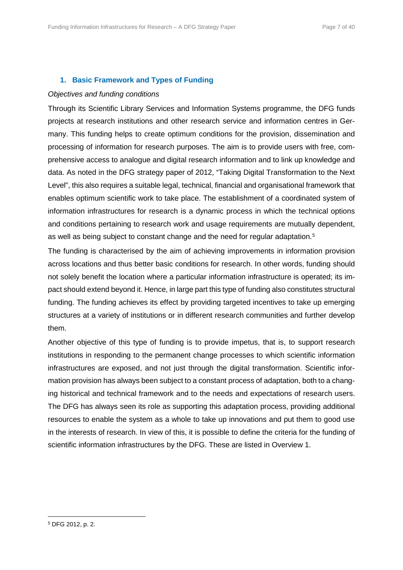# **1. Basic Framework and Types of Funding**

# *Objectives and funding conditions*

Through its Scientific Library Services and Information Systems programme, the DFG funds projects at research institutions and other research service and information centres in Germany. This funding helps to create optimum conditions for the provision, dissemination and processing of information for research purposes. The aim is to provide users with free, comprehensive access to analogue and digital research information and to link up knowledge and data. As noted in the DFG strategy paper of 2012, "Taking Digital Transformation to the Next Level", this also requires a suitable legal, technical, financial and organisational framework that enables optimum scientific work to take place. The establishment of a coordinated system of information infrastructures for research is a dynamic process in which the technical options and conditions pertaining to research work and usage requirements are mutually dependent, as well as being subject to constant change and the need for regular adaptation.<sup>[5](#page-6-0)</sup>

The funding is characterised by the aim of achieving improvements in information provision across locations and thus better basic conditions for research. In other words, funding should not solely benefit the location where a particular information infrastructure is operated; its impact should extend beyond it. Hence, in large part this type of funding also constitutes structural funding. The funding achieves its effect by providing targeted incentives to take up emerging structures at a variety of institutions or in different research communities and further develop them.

Another objective of this type of funding is to provide impetus, that is, to support research institutions in responding to the permanent change processes to which scientific information infrastructures are exposed, and not just through the digital transformation. Scientific information provision has always been subject to a constant process of adaptation, both to a changing historical and technical framework and to the needs and expectations of research users. The DFG has always seen its role as supporting this adaptation process, providing additional resources to enable the system as a whole to take up innovations and put them to good use in the interests of research. In view of this, it is possible to define the criteria for the funding of scientific information infrastructures by the DFG. These are listed in Overview 1.

<span id="page-6-0"></span><sup>5</sup> DFG 2012, p. 2.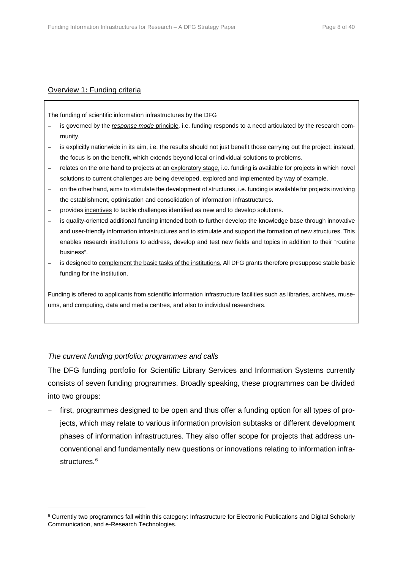# Overview 1**:** Funding criteria

The funding of scientific information infrastructures by the DFG

- is governed by the *response mode* principle, i.e. funding responds to a need articulated by the research community.
- is explicitly nationwide in its aim, i.e. the results should not just benefit those carrying out the project; instead, the focus is on the benefit, which extends beyond local or individual solutions to problems.
- relates on the one hand to projects at an exploratory stage, i.e. funding is available for projects in which novel solutions to current challenges are being developed, explored and implemented by way of example.
- on the other hand, aims to stimulate the development of structures, i.e. funding is available for projects involving the establishment, optimisation and consolidation of information infrastructures.
- provides incentives to tackle challenges identified as new and to develop solutions.
- is quality-oriented additional funding intended both to further develop the knowledge base through innovative and user-friendly information infrastructures and to stimulate and support the formation of new structures. This enables research institutions to address, develop and test new fields and topics in addition to their "routine business".
- is designed to complement the basic tasks of the institutions. All DFG grants therefore presuppose stable basic funding for the institution.

Funding is offered to applicants from scientific information infrastructure facilities such as libraries, archives, museums, and computing, data and media centres, and also to individual researchers.

# *The current funding portfolio: programmes and calls*

 $\overline{a}$ 

The DFG funding portfolio for Scientific Library Services and Information Systems currently consists of seven funding programmes. Broadly speaking, these programmes can be divided into two groups:

– first, programmes designed to be open and thus offer a funding option for all types of projects, which may relate to various information provision subtasks or different development phases of information infrastructures. They also offer scope for projects that address unconventional and fundamentally new questions or innovations relating to information infra-structures.<sup>[6](#page-7-0)</sup>

<span id="page-7-0"></span><sup>6</sup> Currently two programmes fall within this category: Infrastructure for Electronic Publications and Digital Scholarly Communication, and e-Research Technologies.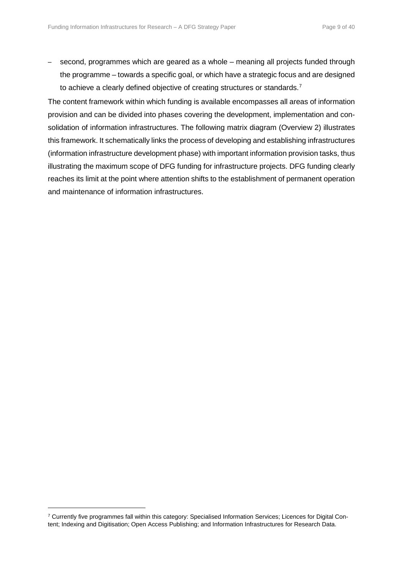– second, programmes which are geared as a whole – meaning all projects funded through the programme – towards a specific goal, or which have a strategic focus and are designed to achieve a clearly defined objective of creating structures or standards.<sup>[7](#page-8-0)</sup>

The content framework within which funding is available encompasses all areas of information provision and can be divided into phases covering the development, implementation and consolidation of information infrastructures. The following matrix diagram (Overview 2) illustrates this framework. It schematically links the process of developing and establishing infrastructures (information infrastructure development phase) with important information provision tasks, thus illustrating the maximum scope of DFG funding for infrastructure projects. DFG funding clearly reaches its limit at the point where attention shifts to the establishment of permanent operation and maintenance of information infrastructures.

<span id="page-8-0"></span><sup>7</sup> Currently five programmes fall within this category: Specialised Information Services; Licences for Digital Content; Indexing and Digitisation; Open Access Publishing; and Information Infrastructures for Research Data.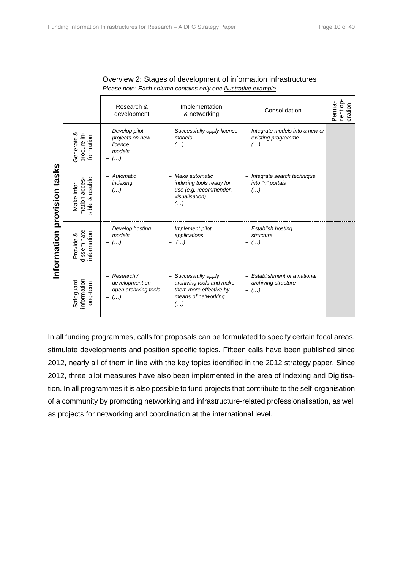|                                   |                                                   | Research &<br>development                                                            | Implementation<br>& networking                                                                             | Consolidation                                                      | nent op-<br>Perma-<br>eration |
|-----------------------------------|---------------------------------------------------|--------------------------------------------------------------------------------------|------------------------------------------------------------------------------------------------------------|--------------------------------------------------------------------|-------------------------------|
| tasks<br>provision<br>Information | Generate &<br>procure in-<br>formation            | Develop pilot<br>projects on new<br>licence<br>models<br>$-$ ()                      | - Successfully apply licence<br>models<br>$-$ ()                                                           | Integrate models into a new or<br>existing programme<br>$(\ldots)$ |                               |
|                                   | usable<br>mation acces-<br>Make infor-<br>sible & | - Automatic<br>indexing<br>$-$ ()                                                    | - Make automatic<br>indexing tools ready for<br>use (e.g. recommender,<br>visualisation)<br>$($ )          | - Integrate search technique<br>into "n" portals<br>$-$ ()         |                               |
|                                   | disseminate<br>information<br>Provide &           | - Develop hosting<br>models<br>$($ )<br>$\qquad \qquad -$                            | - Implement pilot<br>applications<br>$(\dots)$                                                             | - Establish hosting<br>structure<br>$(\ldots)$                     |                               |
|                                   | information<br>Safeguard<br>long-term             | - Research /<br>development on<br>open archiving tools<br>$($ )<br>$\qquad \qquad -$ | - Successfully apply<br>archiving tools and make<br>them more effective by<br>means of networking<br>$($ ) | - Establishment of a national<br>archiving structure<br>$(\ldots)$ |                               |

| Overview 2: Stages of development of information infrastructures       |
|------------------------------------------------------------------------|
| Please note: Each column contains only one <i>illustrative example</i> |

In all funding programmes, calls for proposals can be formulated to specify certain focal areas, stimulate developments and position specific topics. Fifteen calls have been published since 2012, nearly all of them in line with the key topics identified in the [2012 strategy paper.](http://www.dfg.de/download/pdf/foerderung/programme/lis/strategy_paper_digital_transformation.pdf) Since 2012, three pilot measures have also been implemented in the area of Indexing and Digitisation. In all programmes it is also possible to fund projects that contribute to the self-organisation of a community by promoting networking and infrastructure-related professionalisation, as well as projects for networking and coordination at the international level.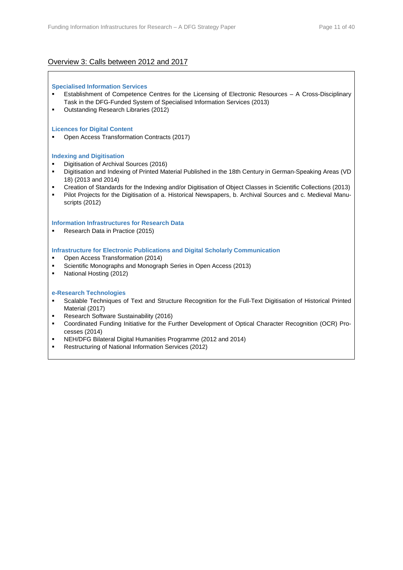# Overview 3: Calls between 2012 and 2017

#### **Specialised Information Services**

- Establishment of Competence Centres for the Licensing of Electronic Resources A Cross-Disciplinary Task in the DFG-Funded System of Specialised Information Services (2013)
- **Outstanding Research Libraries (2012)**

#### **Licences for Digital Content**

Open Access Transformation Contracts (2017)

#### **Indexing and Digitisation**

- Digitisation of Archival Sources (2016)
- Digitisation and Indexing of Printed Material Published in the 18th Century in German-Speaking Areas (VD 18) (2013 and 2014)
- Creation of Standards for the Indexing and/or Digitisation of Object Classes in Scientific Collections (2013)
- Pilot Projects for the Digitisation of a. Historical Newspapers, b. Archival Sources and c. Medieval Manuscripts (2012)

#### **Information Infrastructures for Research Data**

Research Data in Practice (2015)

#### **Infrastructure for Electronic Publications and Digital Scholarly Communication**

- Open Access Transformation (2014)
- Scientific Monographs and Monograph Series in Open Access (2013)
- National Hosting (2012)

#### **e-Research Technologies**

- Scalable Techniques of Text and Structure Recognition for the Full-Text Digitisation of Historical Printed Material (2017)
- Research Software Sustainability (2016)
- Coordinated Funding Initiative for the Further Development of Optical Character Recognition (OCR) Processes (2014)
- NEH/DFG Bilateral Digital Humanities Programme (2012 and 2014)
- **Restructuring of National Information Services (2012)**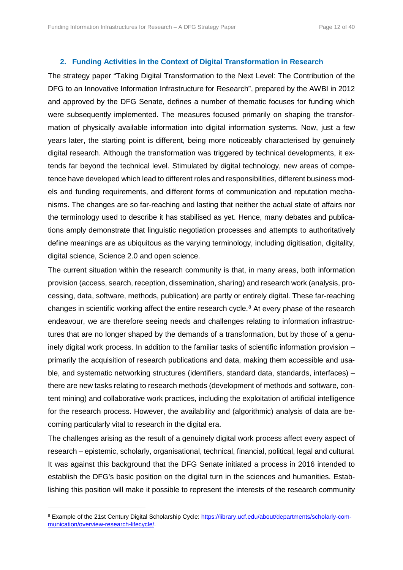#### **2. Funding Activities in the Context of Digital Transformation in Research**

The strategy paper "Taking Digital Transformation to the Next Level: The Contribution of the DFG to an Innovative Information Infrastructure for Research", prepared by the AWBI in 2012 and approved by the DFG Senate, defines a number of thematic focuses for funding which were subsequently implemented. The measures focused primarily on shaping the transformation of physically available information into digital information systems. Now, just a few years later, the starting point is different, being more noticeably characterised by genuinely digital research. Although the transformation was triggered by technical developments, it extends far beyond the technical level. Stimulated by digital technology, new areas of competence have developed which lead to different roles and responsibilities, different business models and funding requirements, and different forms of communication and reputation mechanisms. The changes are so far-reaching and lasting that neither the actual state of affairs nor the terminology used to describe it has stabilised as yet. Hence, many debates and publications amply demonstrate that linguistic negotiation processes and attempts to authoritatively define meanings are as ubiquitous as the varying terminology, including digitisation, digitality, digital science, Science 2.0 and open science.

The current situation within the research community is that, in many areas, both information provision (access, search, reception, dissemination, sharing) and research work (analysis, processing, data, software, methods, publication) are partly or entirely digital. These far-reaching changes in scientific working affect the entire research cycle.<sup>[8](#page-11-0)</sup> At every phase of the research endeavour, we are therefore seeing needs and challenges relating to information infrastructures that are no longer shaped by the demands of a transformation, but by those of a genuinely digital work process. In addition to the familiar tasks of scientific information provision – primarily the acquisition of research publications and data, making them accessible and usable, and systematic networking structures (identifiers, standard data, standards, interfaces) – there are new tasks relating to research methods (development of methods and software, content mining) and collaborative work practices, including the exploitation of artificial intelligence for the research process. However, the availability and (algorithmic) analysis of data are becoming particularly vital to research in the digital era.

The challenges arising as the result of a genuinely digital work process affect every aspect of research – epistemic, scholarly, organisational, technical, financial, political, legal and cultural. It was against this background that the DFG Senate initiated a process in 2016 intended to establish the DFG's basic position on the digital turn in the sciences and humanities. Establishing this position will make it possible to represent the interests of the research community

<span id="page-11-0"></span><sup>&</sup>lt;sup>8</sup> Example of the 21st Century Digital Scholarship Cycle: [https://library.ucf.edu/about/departments/scholarly-com](https://library.ucf.edu/about/departments/scholarly-communication/overview-research-lifecycle/)[munication/overview-research-lifecycle/.](https://library.ucf.edu/about/departments/scholarly-communication/overview-research-lifecycle/)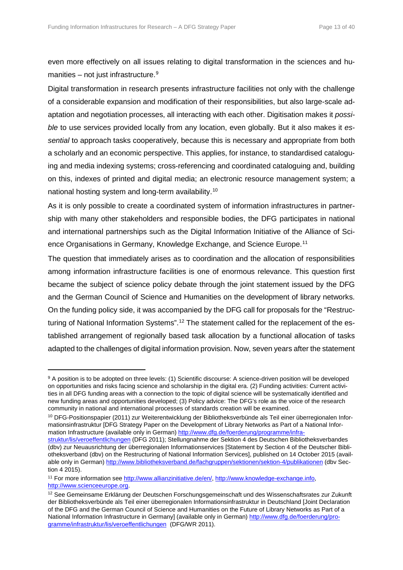even more effectively on all issues relating to digital transformation in the sciences and humanities – not just infrastructure. $9$ 

Digital transformation in research presents infrastructure facilities not only with the challenge of a considerable expansion and modification of their responsibilities, but also large-scale adaptation and negotiation processes, all interacting with each other. Digitisation makes it *possible* to use services provided locally from any location, even globally. But it also makes it *essential* to approach tasks cooperatively, because this is necessary and appropriate from both a scholarly and an economic perspective. This applies, for instance, to standardised cataloguing and media indexing systems; cross-referencing and coordinated cataloguing and, building on this, indexes of printed and digital media; an electronic resource management system; a national hosting system and long-term availability.[10](#page-12-1)

As it is only possible to create a coordinated system of information infrastructures in partnership with many other stakeholders and responsible bodies, the DFG participates in national and international partnerships such as the Digital Information Initiative of the Alliance of Science Organisations in Germany, Knowledge Exchange, and Science Europe.[11](#page-12-2)

The question that immediately arises as to coordination and the allocation of responsibilities among information infrastructure facilities is one of enormous relevance. This question first became the subject of science policy debate through the joint statement issued by the DFG and the German Council of Science and Humanities on the development of library networks. On the funding policy side, it was accompanied by the DFG call for proposals for the "Restruc-turing of National Information Systems".<sup>[12](#page-12-3)</sup> The statement called for the replacement of the established arrangement of regionally based task allocation by a functional allocation of tasks adapted to the challenges of digital information provision. Now, seven years after the statement

<span id="page-12-0"></span><sup>9</sup> A position is to be adopted on three levels: (1) Scientific discourse: A science-driven position will be developed on opportunities and risks facing science and scholarship in the digital era. (2) Funding activities: Current activities in all DFG funding areas with a connection to the topic of digital science will be systematically identified and new funding areas and opportunities developed; (3) Policy advice: The DFG's role as the voice of the research community in national and international processes of standards creation will be examined.

<span id="page-12-1"></span><sup>10</sup> DFG-Positionspapier (2011) zur Weiterentwicklung der Bibliotheksverbünde als Teil einer überregionalen Informationsinfrastruktur [DFG Strategy Paper on the Development of Library Networks as Part of a National Infor-mation Infrastructure (available only in German[\) http://www.dfg.de/foerderung/programme/infra-](http://www.dfg.de/foerderung/programme/infrastruktur/lis/veroeffentlichungen/index.html)

[struktur/lis/veroeffentlichungen](http://www.dfg.de/foerderung/programme/infrastruktur/lis/veroeffentlichungen/index.html) (DFG 2011); Stellungnahme der Sektion 4 des Deutschen Bibliotheksverbandes (dbv) zur Neuausrichtung der überregionalen Informationservices [Statement by Section 4 of the Deutscher Bibliotheksverband (dbv) on the Restructuring of National Information Services], published on 14 October 2015 (available only in German) [http://www.bibliotheksverband.de/fachgruppen/sektionen/sektion-4/publikationen](http://www.bibliotheksverband.de/fachgruppen/sektionen/sektion-4/publikationen.html) (dbv Section 4 2015).

<span id="page-12-2"></span><sup>11</sup> For more information see [http://www.allianzinitiative.de/en/,](http://www.allianzinitiative.de/en/) [http://www.knowledge-exchange.info,](http://www.knowledge-exchange.info/) [http://www.scienceeurope.org.](http://www.scienceeurope.org/) 

<span id="page-12-3"></span><sup>12</sup> See Gemeinsame Erklärung der Deutschen Forschungsgemeinschaft und des Wissenschaftsrates zur Zukunft der Bibliotheksverbünde als Teil einer überregionalen Informationsinfrastruktur in Deutschland [Joint Declaration of the DFG and the German Council of Science and Humanities on the Future of Library Networks as Part of a National Information Infrastructure in Germany] (available only in German) [http://www.dfg.de/foerderung/pro](http://www.dfg.de/foerderung/programme/infrastruktur/lis/veroeffentlichungen/index.html)[gramme/infrastruktur/lis/veroeffentlichungen](http://www.dfg.de/foerderung/programme/infrastruktur/lis/veroeffentlichungen/index.html) (DFG/WR 2011).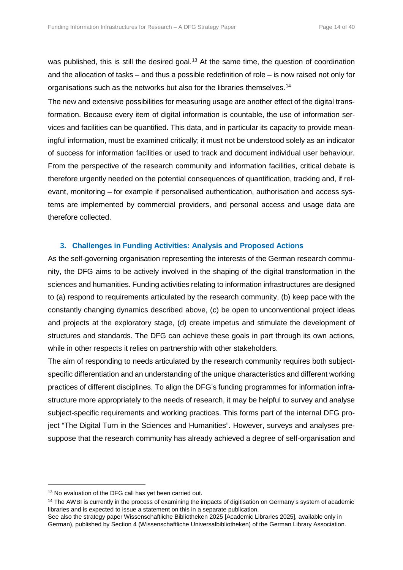was published, this is still the desired goal.<sup>[13](#page-13-0)</sup> At the same time, the question of coordination and the allocation of tasks – and thus a possible redefinition of role – is now raised not only for organisations such as the networks but also for the libraries themselves.<sup>[14](#page-13-1)</sup>

The new and extensive possibilities for measuring usage are another effect of the digital transformation. Because every item of digital information is countable, the use of information services and facilities can be quantified. This data, and in particular its capacity to provide meaningful information, must be examined critically; it must not be understood solely as an indicator of success for information facilities or used to track and document individual user behaviour. From the perspective of the research community and information facilities, critical debate is therefore urgently needed on the potential consequences of quantification, tracking and, if relevant, monitoring – for example if personalised authentication, authorisation and access systems are implemented by commercial providers, and personal access and usage data are therefore collected.

# **3. Challenges in Funding Activities: Analysis and Proposed Actions**

As the self-governing organisation representing the interests of the German research community, the DFG aims to be actively involved in the shaping of the digital transformation in the sciences and humanities. Funding activities relating to information infrastructures are designed to (a) respond to requirements articulated by the research community, (b) keep pace with the constantly changing dynamics described above, (c) be open to unconventional project ideas and projects at the exploratory stage, (d) create impetus and stimulate the development of structures and standards. The DFG can achieve these goals in part through its own actions, while in other respects it relies on partnership with other stakeholders.

The aim of responding to needs articulated by the research community requires both subjectspecific differentiation and an understanding of the unique characteristics and different working practices of different disciplines. To align the DFG's funding programmes for information infrastructure more appropriately to the needs of research, it may be helpful to survey and analyse subject-specific requirements and working practices. This forms part of the internal DFG project "The Digital Turn in the Sciences and Humanities". However, surveys and analyses presuppose that the research community has already achieved a degree of self-organisation and

<span id="page-13-0"></span><sup>&</sup>lt;sup>13</sup> No evaluation of the DFG call has yet been carried out.

<span id="page-13-1"></span><sup>&</sup>lt;sup>14</sup> The AWBI is currently in the process of examining the impacts of digitisation on Germany's system of academic libraries and is expected to issue a statement on this in a separate publication.

See also the strategy paper Wissenschaftliche Bibliotheken 2025 [Academic Libraries 2025], available only in German), published by Section 4 (Wissenschaftliche Universalbibliotheken) of the German Library Association.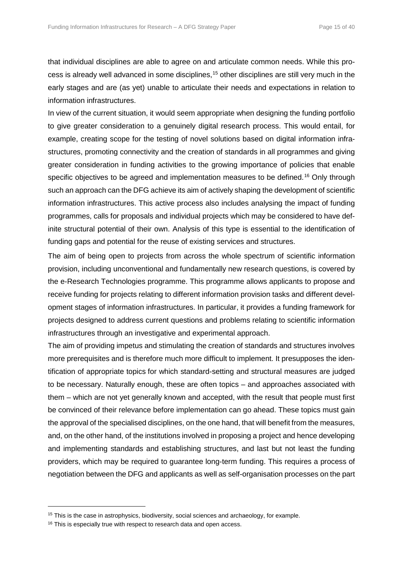that individual disciplines are able to agree on and articulate common needs. While this process is already well advanced in some disciplines,[15](#page-14-0) other disciplines are still very much in the early stages and are (as yet) unable to articulate their needs and expectations in relation to information infrastructures.

In view of the current situation, it would seem appropriate when designing the funding portfolio to give greater consideration to a genuinely digital research process. This would entail, for example, creating scope for the testing of novel solutions based on digital information infrastructures, promoting connectivity and the creation of standards in all programmes and giving greater consideration in funding activities to the growing importance of policies that enable specific objectives to be agreed and implementation measures to be defined.<sup>[16](#page-14-1)</sup> Only through such an approach can the DFG achieve its aim of actively shaping the development of scientific information infrastructures. This active process also includes analysing the impact of funding programmes, calls for proposals and individual projects which may be considered to have definite structural potential of their own. Analysis of this type is essential to the identification of funding gaps and potential for the reuse of existing services and structures.

The aim of being open to projects from across the whole spectrum of scientific information provision, including unconventional and fundamentally new research questions, is covered by the e-Research Technologies programme. This programme allows applicants to propose and receive funding for projects relating to different information provision tasks and different development stages of information infrastructures. In particular, it provides a funding framework for projects designed to address current questions and problems relating to scientific information infrastructures through an investigative and experimental approach.

The aim of providing impetus and stimulating the creation of standards and structures involves more prerequisites and is therefore much more difficult to implement. It presupposes the identification of appropriate topics for which standard-setting and structural measures are judged to be necessary. Naturally enough, these are often topics – and approaches associated with them – which are not yet generally known and accepted, with the result that people must first be convinced of their relevance before implementation can go ahead. These topics must gain the approval of the specialised disciplines, on the one hand, that will benefit from the measures, and, on the other hand, of the institutions involved in proposing a project and hence developing and implementing standards and establishing structures, and last but not least the funding providers, which may be required to guarantee long-term funding. This requires a process of negotiation between the DFG and applicants as well as self-organisation processes on the part

<span id="page-14-0"></span><sup>&</sup>lt;sup>15</sup> This is the case in astrophysics, biodiversity, social sciences and archaeology, for example.

<span id="page-14-1"></span><sup>&</sup>lt;sup>16</sup> This is especially true with respect to research data and open access.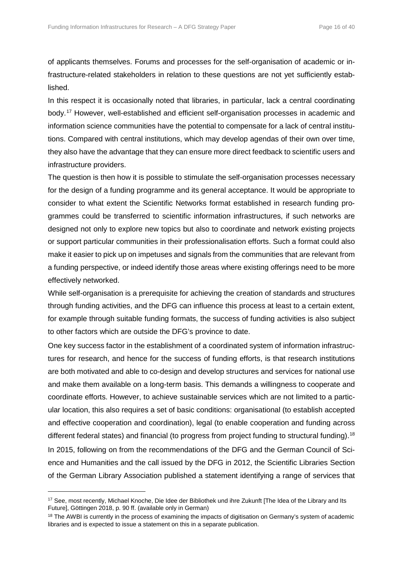of applicants themselves. Forums and processes for the self-organisation of academic or infrastructure-related stakeholders in relation to these questions are not yet sufficiently established.

In this respect it is occasionally noted that libraries, in particular, lack a central coordinating body.[17](#page-15-0) However, well-established and efficient self-organisation processes in academic and information science communities have the potential to compensate for a lack of central institutions. Compared with central institutions, which may develop agendas of their own over time, they also have the advantage that they can ensure more direct feedback to scientific users and infrastructure providers.

The question is then how it is possible to stimulate the self-organisation processes necessary for the design of a funding programme and its general acceptance. It would be appropriate to consider to what extent the Scientific Networks format established in research funding programmes could be transferred to scientific information infrastructures, if such networks are designed not only to explore new topics but also to coordinate and network existing projects or support particular communities in their professionalisation efforts. Such a format could also make it easier to pick up on impetuses and signals from the communities that are relevant from a funding perspective, or indeed identify those areas where existing offerings need to be more effectively networked.

While self-organisation is a prerequisite for achieving the creation of standards and structures through funding activities, and the DFG can influence this process at least to a certain extent, for example through suitable funding formats, the success of funding activities is also subject to other factors which are outside the DFG's province to date.

One key success factor in the establishment of a coordinated system of information infrastructures for research, and hence for the success of funding efforts, is that research institutions are both motivated and able to co-design and develop structures and services for national use and make them available on a long-term basis. This demands a willingness to cooperate and coordinate efforts. However, to achieve sustainable services which are not limited to a particular location, this also requires a set of basic conditions: organisational (to establish accepted and effective cooperation and coordination), legal (to enable cooperation and funding across different federal states) and financial (to progress from project funding to structural funding).<sup>[18](#page-15-1)</sup> In 2015, following on from the recommendations of the DFG and the German Council of Science and Humanities and the call issued by the DFG in 2012, the Scientific Libraries Section

of the German Library Association published a statement identifying a range of services that

<span id="page-15-0"></span><sup>&</sup>lt;sup>17</sup> See, most recently, Michael Knoche, Die Idee der Bibliothek und ihre Zukunft [The Idea of the Library and Its Future], Göttingen 2018, p. 90 ff. (available only in German)

<span id="page-15-1"></span><sup>&</sup>lt;sup>18</sup> The AWBI is currently in the process of examining the impacts of digitisation on Germany's system of academic libraries and is expected to issue a statement on this in a separate publication.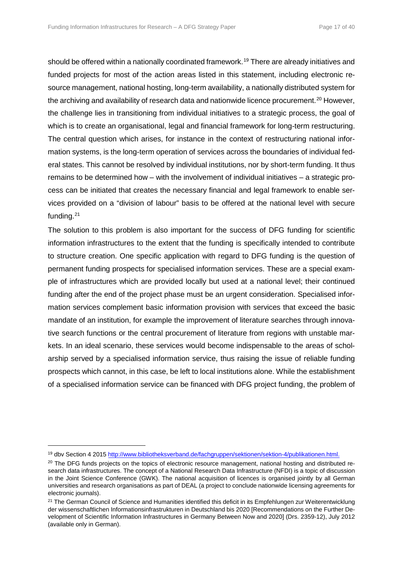should be offered within a nationally coordinated framework.<sup>[19](#page-16-0)</sup> There are already initiatives and funded projects for most of the action areas listed in this statement, including electronic resource management, national hosting, long-term availability, a nationally distributed system for the archiving and availability of research data and nationwide licence procurement.<sup>[20](#page-16-1)</sup> However, the challenge lies in transitioning from individual initiatives to a strategic process, the goal of which is to create an organisational, legal and financial framework for long-term restructuring. The central question which arises, for instance in the context of restructuring national information systems, is the long-term operation of services across the boundaries of individual federal states. This cannot be resolved by individual institutions, nor by short-term funding. It thus remains to be determined how – with the involvement of individual initiatives – a strategic process can be initiated that creates the necessary financial and legal framework to enable services provided on a "division of labour" basis to be offered at the national level with secure funding.[21](#page-16-2)

The solution to this problem is also important for the success of DFG funding for scientific information infrastructures to the extent that the funding is specifically intended to contribute to structure creation. One specific application with regard to DFG funding is the question of permanent funding prospects for specialised information services. These are a special example of infrastructures which are provided locally but used at a national level; their continued funding after the end of the project phase must be an urgent consideration. Specialised information services complement basic information provision with services that exceed the basic mandate of an institution, for example the improvement of literature searches through innovative search functions or the central procurement of literature from regions with unstable markets. In an ideal scenario, these services would become indispensable to the areas of scholarship served by a specialised information service, thus raising the issue of reliable funding prospects which cannot, in this case, be left to local institutions alone. While the establishment of a specialised information service can be financed with DFG project funding, the problem of

<span id="page-16-0"></span><sup>19</sup> dbv Section 4 201[5 http://www.bibliotheksverband.de/fachgruppen/sektionen/sektion-4/publikationen.html.](http://www.bibliotheksverband.de/fachgruppen/sektionen/sektion-4/publikationen.html)

<span id="page-16-1"></span><sup>&</sup>lt;sup>20</sup> The DFG funds projects on the topics of electronic resource management, national hosting and distributed research data infrastructures. The concept of a National Research Data Infrastructure (NFDI) is a topic of discussion in the Joint Science Conference (GWK). The national acquisition of licences is organised jointly by all German universities and research organisations as part of DEAL (a project to conclude nationwide licensing agreements for electronic journals).

<span id="page-16-2"></span><sup>&</sup>lt;sup>21</sup> The German Council of Science and Humanities identified this deficit in its Empfehlungen zur Weiterentwicklung der wissenschaftlichen Informationsinfrastrukturen in Deutschland bis 2020 [Recommendations on the Further Development of Scientific Information Infrastructures in Germany Between Now and 2020] (Drs. 2359-12), July 2012 (available only in German).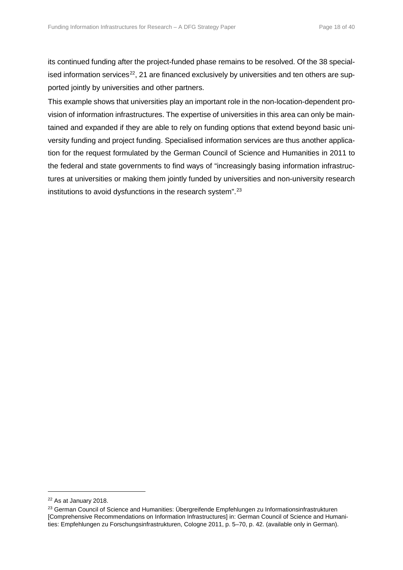its continued funding after the project-funded phase remains to be resolved. Of the 38 specialised information services<sup>22</sup>, 21 are financed exclusively by universities and ten others are supported jointly by universities and other partners.

This example shows that universities play an important role in the non-location-dependent provision of information infrastructures. The expertise of universities in this area can only be maintained and expanded if they are able to rely on funding options that extend beyond basic university funding and project funding. Specialised information services are thus another application for the request formulated by the German Council of Science and Humanities in 2011 to the federal and state governments to find ways of "increasingly basing information infrastructures at universities or making them jointly funded by universities and non-university research institutions to avoid dysfunctions in the research system".<sup>[23](#page-17-1)</sup>

<span id="page-17-0"></span><sup>22</sup> As at January 2018.

<span id="page-17-1"></span><sup>&</sup>lt;sup>23</sup> German Council of Science and Humanities: Übergreifende Empfehlungen zu Informationsinfrastrukturen [Comprehensive Recommendations on Information Infrastructures] in: German Council of Science and Humanities: Empfehlungen zu Forschungsinfrastrukturen, Cologne 2011, p. 5–70, p. 42. (available only in German).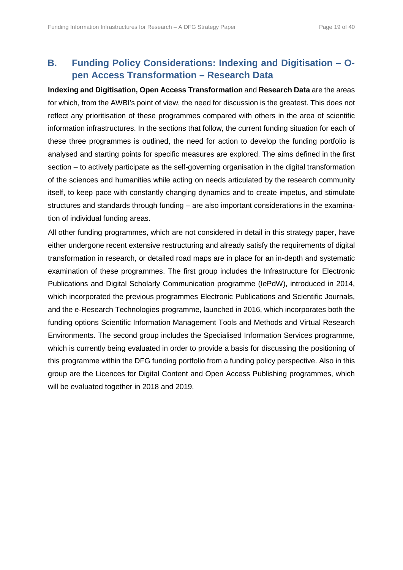# **B. Funding Policy Considerations: Indexing and Digitisation – Open Access Transformation – Research Data**

**Indexing and Digitisation, Open Access Transformation** and **Research Data** are the areas for which, from the AWBI's point of view, the need for discussion is the greatest. This does not reflect any prioritisation of these programmes compared with others in the area of scientific information infrastructures. In the sections that follow, the current funding situation for each of these three programmes is outlined, the need for action to develop the funding portfolio is analysed and starting points for specific measures are explored. The aims defined in the first section – to actively participate as the self-governing organisation in the digital transformation of the sciences and humanities while acting on needs articulated by the research community itself, to keep pace with constantly changing dynamics and to create impetus, and stimulate structures and standards through funding – are also important considerations in the examination of individual funding areas.

All other funding programmes, which are not considered in detail in this strategy paper, have either undergone recent extensive restructuring and already satisfy the requirements of digital transformation in research, or detailed road maps are in place for an in-depth and systematic examination of these programmes. The first group includes the Infrastructure for Electronic Publications and Digital Scholarly Communication programme (IePdW), introduced in 2014, which incorporated the previous programmes Electronic Publications and Scientific Journals, and the e-Research Technologies programme, launched in 2016, which incorporates both the funding options Scientific Information Management Tools and Methods and Virtual Research Environments. The second group includes the Specialised Information Services programme, which is currently being evaluated in order to provide a basis for discussing the positioning of this programme within the DFG funding portfolio from a funding policy perspective. Also in this group are the Licences for Digital Content and Open Access Publishing programmes, which will be evaluated together in 2018 and 2019.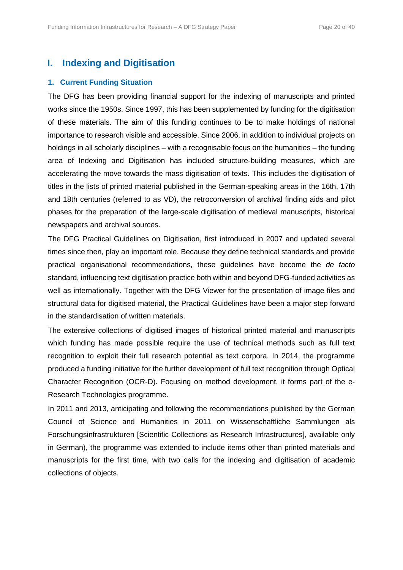# **I. Indexing and Digitisation**

## **1. Current Funding Situation**

The DFG has been providing financial support for the indexing of manuscripts and printed works since the 1950s. Since 1997, this has been supplemented by funding for the digitisation of these materials. The aim of this funding continues to be to make holdings of national importance to research visible and accessible. Since 2006, in addition to individual projects on holdings in all scholarly disciplines – with a recognisable focus on the humanities – the funding area of Indexing and Digitisation has included structure-building measures, which are accelerating the move towards the mass digitisation of texts. This includes the digitisation of titles in the lists of printed material published in the German-speaking areas in the 16th, 17th and 18th centuries (referred to as VD), the retroconversion of archival finding aids and pilot phases for the preparation of the large-scale digitisation of medieval manuscripts, historical newspapers and archival sources.

The DFG Practical Guidelines on Digitisation, first introduced in 2007 and updated several times since then, play an important role. Because they define technical standards and provide practical organisational recommendations, these guidelines have become the *de facto* standard, influencing text digitisation practice both within and beyond DFG-funded activities as well as internationally. Together with the DFG Viewer for the presentation of image files and structural data for digitised material, the Practical Guidelines have been a major step forward in the standardisation of written materials.

The extensive collections of digitised images of historical printed material and manuscripts which funding has made possible require the use of technical methods such as full text recognition to exploit their full research potential as text corpora. In 2014, the programme produced a funding initiative for the further development of full text recognition through Optical Character Recognition (OCR-D). Focusing on method development, it forms part of the e-Research Technologies programme.

In 2011 and 2013, anticipating and following the recommendations published by the German Council of Science and Humanities in 2011 on Wissenschaftliche Sammlungen als Forschungsinfrastrukturen [Scientific Collections as Research Infrastructures], available only in German), the programme was extended to include items other than printed materials and manuscripts for the first time, with two calls for the indexing and digitisation of academic collections of objects.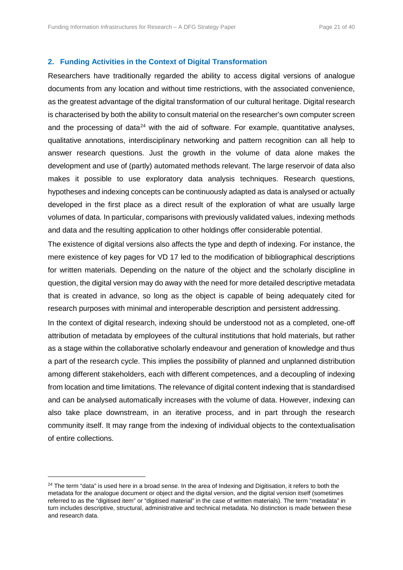#### **2. Funding Activities in the Context of Digital Transformation**

Researchers have traditionally regarded the ability to access digital versions of analogue documents from any location and without time restrictions, with the associated convenience, as the greatest advantage of the digital transformation of our cultural heritage. Digital research is characterised by both the ability to consult material on the researcher's own computer screen and the processing of data<sup>[24](#page-20-0)</sup> with the aid of software. For example, quantitative analyses, qualitative annotations, interdisciplinary networking and pattern recognition can all help to answer research questions. Just the growth in the volume of data alone makes the development and use of (partly) automated methods relevant. The large reservoir of data also makes it possible to use exploratory data analysis techniques. Research questions, hypotheses and indexing concepts can be continuously adapted as data is analysed or actually developed in the first place as a direct result of the exploration of what are usually large volumes of data. In particular, comparisons with previously validated values, indexing methods and data and the resulting application to other holdings offer considerable potential.

The existence of digital versions also affects the type and depth of indexing. For instance, the mere existence of key pages for VD 17 led to the modification of bibliographical descriptions for written materials. Depending on the nature of the object and the scholarly discipline in question, the digital version may do away with the need for more detailed descriptive metadata that is created in advance, so long as the object is capable of being adequately cited for research purposes with minimal and interoperable description and persistent addressing.

In the context of digital research, indexing should be understood not as a completed, one-off attribution of metadata by employees of the cultural institutions that hold materials, but rather as a stage within the collaborative scholarly endeavour and generation of knowledge and thus a part of the research cycle. This implies the possibility of planned and unplanned distribution among different stakeholders, each with different competences, and a decoupling of indexing from location and time limitations. The relevance of digital content indexing that is standardised and can be analysed automatically increases with the volume of data. However, indexing can also take place downstream, in an iterative process, and in part through the research community itself. It may range from the indexing of individual objects to the contextualisation of entire collections.

<span id="page-20-0"></span><sup>&</sup>lt;sup>24</sup> The term "data" is used here in a broad sense. In the area of Indexing and Digitisation, it refers to both the metadata for the analogue document or object and the digital version, and the digital version itself (sometimes referred to as the "digitised item" or "digitised material" in the case of written materials). The term "metadata" in turn includes descriptive, structural, administrative and technical metadata. No distinction is made between these and research data.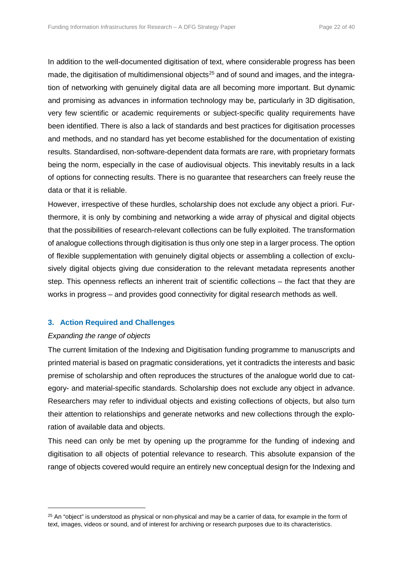In addition to the well-documented digitisation of text, where considerable progress has been made, the digitisation of multidimensional objects<sup>[25](#page-21-0)</sup> and of sound and images, and the integration of networking with genuinely digital data are all becoming more important. But dynamic and promising as advances in information technology may be, particularly in 3D digitisation, very few scientific or academic requirements or subject-specific quality requirements have been identified. There is also a lack of standards and best practices for digitisation processes and methods, and no standard has yet become established for the documentation of existing results. Standardised, non-software-dependent data formats are rare, with proprietary formats being the norm, especially in the case of audiovisual objects. This inevitably results in a lack of options for connecting results. There is no guarantee that researchers can freely reuse the data or that it is reliable.

However, irrespective of these hurdles, scholarship does not exclude any object a priori. Furthermore, it is only by combining and networking a wide array of physical and digital objects that the possibilities of research-relevant collections can be fully exploited. The transformation of analogue collections through digitisation is thus only one step in a larger process. The option of flexible supplementation with genuinely digital objects or assembling a collection of exclusively digital objects giving due consideration to the relevant metadata represents another step. This openness reflects an inherent trait of scientific collections – the fact that they are works in progress – and provides good connectivity for digital research methods as well.

# **3. Action Required and Challenges**

# *Expanding the range of objects*

 $\overline{a}$ 

The current limitation of the Indexing and Digitisation funding programme to manuscripts and printed material is based on pragmatic considerations, yet it contradicts the interests and basic premise of scholarship and often reproduces the structures of the analogue world due to category- and material-specific standards. Scholarship does not exclude any object in advance. Researchers may refer to individual objects and existing collections of objects, but also turn their attention to relationships and generate networks and new collections through the exploration of available data and objects.

This need can only be met by opening up the programme for the funding of indexing and digitisation to all objects of potential relevance to research. This absolute expansion of the range of objects covered would require an entirely new conceptual design for the Indexing and

<span id="page-21-0"></span> $25$  An "object" is understood as physical or non-physical and may be a carrier of data, for example in the form of text, images, videos or sound, and of interest for archiving or research purposes due to its characteristics.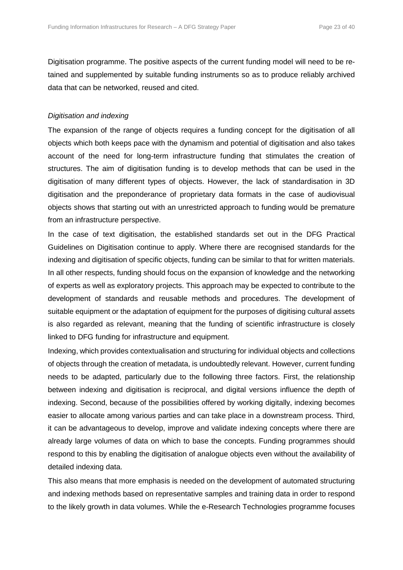Digitisation programme. The positive aspects of the current funding model will need to be retained and supplemented by suitable funding instruments so as to produce reliably archived data that can be networked, reused and cited.

# *Digitisation and indexing*

The expansion of the range of objects requires a funding concept for the digitisation of all objects which both keeps pace with the dynamism and potential of digitisation and also takes account of the need for long-term infrastructure funding that stimulates the creation of structures. The aim of digitisation funding is to develop methods that can be used in the digitisation of many different types of objects. However, the lack of standardisation in 3D digitisation and the preponderance of proprietary data formats in the case of audiovisual objects shows that starting out with an unrestricted approach to funding would be premature from an infrastructure perspective.

In the case of text digitisation, the established standards set out in the DFG Practical Guidelines on Digitisation continue to apply. Where there are recognised standards for the indexing and digitisation of specific objects, funding can be similar to that for written materials. In all other respects, funding should focus on the expansion of knowledge and the networking of experts as well as exploratory projects. This approach may be expected to contribute to the development of standards and reusable methods and procedures. The development of suitable equipment or the adaptation of equipment for the purposes of digitising cultural assets is also regarded as relevant, meaning that the funding of scientific infrastructure is closely linked to DFG funding for infrastructure and equipment.

Indexing, which provides contextualisation and structuring for individual objects and collections of objects through the creation of metadata, is undoubtedly relevant. However, current funding needs to be adapted, particularly due to the following three factors. First, the relationship between indexing and digitisation is reciprocal, and digital versions influence the depth of indexing. Second, because of the possibilities offered by working digitally, indexing becomes easier to allocate among various parties and can take place in a downstream process. Third, it can be advantageous to develop, improve and validate indexing concepts where there are already large volumes of data on which to base the concepts. Funding programmes should respond to this by enabling the digitisation of analogue objects even without the availability of detailed indexing data.

This also means that more emphasis is needed on the development of automated structuring and indexing methods based on representative samples and training data in order to respond to the likely growth in data volumes. While the e-Research Technologies programme focuses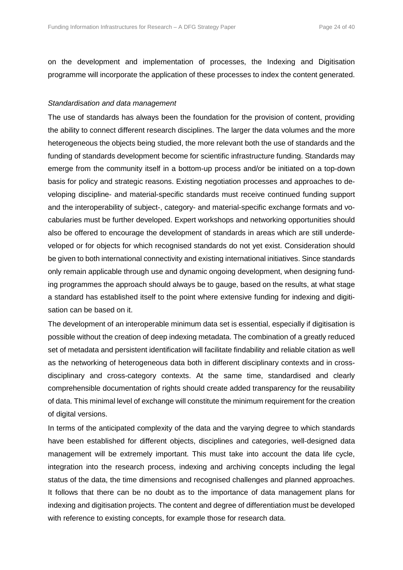on the development and implementation of processes, the Indexing and Digitisation programme will incorporate the application of these processes to index the content generated.

#### *Standardisation and data management*

The use of standards has always been the foundation for the provision of content, providing the ability to connect different research disciplines. The larger the data volumes and the more heterogeneous the objects being studied, the more relevant both the use of standards and the funding of standards development become for scientific infrastructure funding. Standards may emerge from the community itself in a bottom-up process and/or be initiated on a top-down basis for policy and strategic reasons. Existing negotiation processes and approaches to developing discipline- and material-specific standards must receive continued funding support and the interoperability of subject-, category- and material-specific exchange formats and vocabularies must be further developed. Expert workshops and networking opportunities should also be offered to encourage the development of standards in areas which are still underdeveloped or for objects for which recognised standards do not yet exist. Consideration should be given to both international connectivity and existing international initiatives. Since standards only remain applicable through use and dynamic ongoing development, when designing funding programmes the approach should always be to gauge, based on the results, at what stage a standard has established itself to the point where extensive funding for indexing and digitisation can be based on it.

The development of an interoperable minimum data set is essential, especially if digitisation is possible without the creation of deep indexing metadata. The combination of a greatly reduced set of metadata and persistent identification will facilitate findability and reliable citation as well as the networking of heterogeneous data both in different disciplinary contexts and in crossdisciplinary and cross-category contexts. At the same time, standardised and clearly comprehensible documentation of rights should create added transparency for the reusability of data. This minimal level of exchange will constitute the minimum requirement for the creation of digital versions.

In terms of the anticipated complexity of the data and the varying degree to which standards have been established for different objects, disciplines and categories, well-designed data management will be extremely important. This must take into account the data life cycle, integration into the research process, indexing and archiving concepts including the legal status of the data, the time dimensions and recognised challenges and planned approaches. It follows that there can be no doubt as to the importance of data management plans for indexing and digitisation projects. The content and degree of differentiation must be developed with reference to existing concepts, for example those for research data.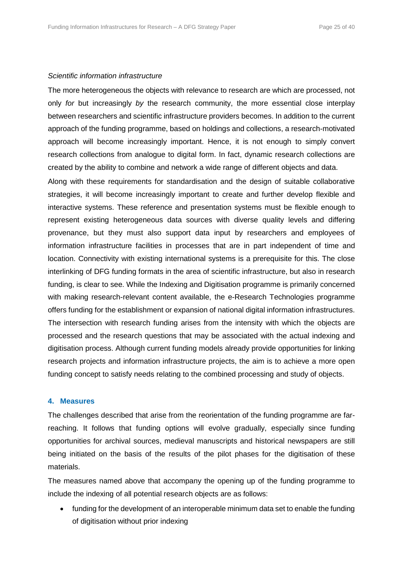#### *Scientific information infrastructure*

The more heterogeneous the objects with relevance to research are which are processed, not only *for* but increasingly *by* the research community, the more essential close interplay between researchers and scientific infrastructure providers becomes. In addition to the current approach of the funding programme, based on holdings and collections, a research-motivated approach will become increasingly important. Hence, it is not enough to simply convert research collections from analogue to digital form. In fact, dynamic research collections are created by the ability to combine and network a wide range of different objects and data.

Along with these requirements for standardisation and the design of suitable collaborative strategies, it will become increasingly important to create and further develop flexible and interactive systems. These reference and presentation systems must be flexible enough to represent existing heterogeneous data sources with diverse quality levels and differing provenance, but they must also support data input by researchers and employees of information infrastructure facilities in processes that are in part independent of time and location. Connectivity with existing international systems is a prerequisite for this. The close interlinking of DFG funding formats in the area of scientific infrastructure, but also in research funding, is clear to see. While the Indexing and Digitisation programme is primarily concerned with making research-relevant content available, the e-Research Technologies programme offers funding for the establishment or expansion of national digital information infrastructures. The intersection with research funding arises from the intensity with which the objects are processed and the research questions that may be associated with the actual indexing and digitisation process. Although current funding models already provide opportunities for linking research projects and information infrastructure projects, the aim is to achieve a more open funding concept to satisfy needs relating to the combined processing and study of objects.

#### **4. Measures**

The challenges described that arise from the reorientation of the funding programme are farreaching. It follows that funding options will evolve gradually, especially since funding opportunities for archival sources, medieval manuscripts and historical newspapers are still being initiated on the basis of the results of the pilot phases for the digitisation of these materials.

The measures named above that accompany the opening up of the funding programme to include the indexing of all potential research objects are as follows:

• funding for the development of an interoperable minimum data set to enable the funding of digitisation without prior indexing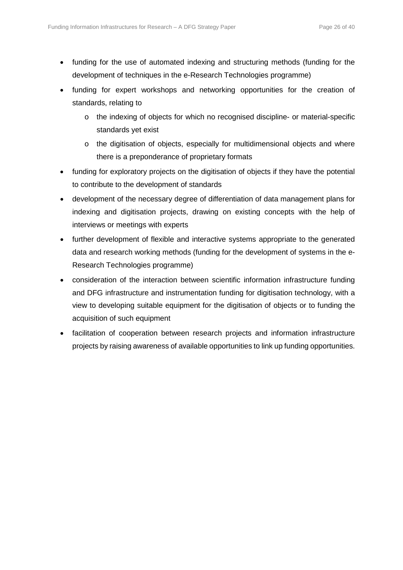- funding for the use of automated indexing and structuring methods (funding for the development of techniques in the e-Research Technologies programme)
- funding for expert workshops and networking opportunities for the creation of standards, relating to
	- o the indexing of objects for which no recognised discipline- or material-specific standards yet exist
	- o the digitisation of objects, especially for multidimensional objects and where there is a preponderance of proprietary formats
- funding for exploratory projects on the digitisation of objects if they have the potential to contribute to the development of standards
- development of the necessary degree of differentiation of data management plans for indexing and digitisation projects, drawing on existing concepts with the help of interviews or meetings with experts
- further development of flexible and interactive systems appropriate to the generated data and research working methods (funding for the development of systems in the e-Research Technologies programme)
- consideration of the interaction between scientific information infrastructure funding and DFG infrastructure and instrumentation funding for digitisation technology, with a view to developing suitable equipment for the digitisation of objects or to funding the acquisition of such equipment
- facilitation of cooperation between research projects and information infrastructure projects by raising awareness of available opportunities to link up funding opportunities.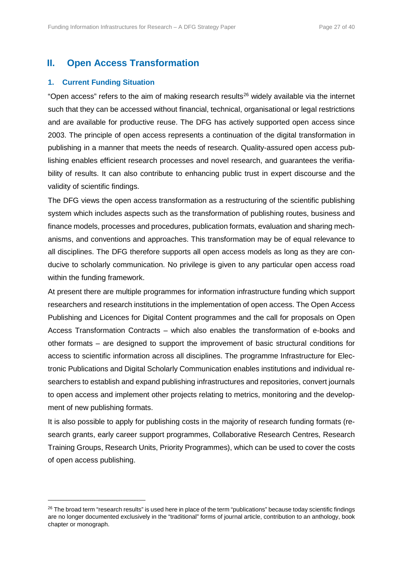# **II. Open Access Transformation**

# **1. Current Funding Situation**

l

"Open access" refers to the aim of making research results<sup>[26](#page-26-0)</sup> widely available via the internet such that they can be accessed without financial, technical, organisational or legal restrictions and are available for productive reuse. The DFG has actively supported open access since 2003. The principle of open access represents a continuation of the digital transformation in publishing in a manner that meets the needs of research. Quality-assured open access publishing enables efficient research processes and novel research, and guarantees the verifiability of results. It can also contribute to enhancing public trust in expert discourse and the validity of scientific findings.

The DFG views the open access transformation as a restructuring of the scientific publishing system which includes aspects such as the transformation of publishing routes, business and finance models, processes and procedures, publication formats, evaluation and sharing mechanisms, and conventions and approaches. This transformation may be of equal relevance to all disciplines. The DFG therefore supports all open access models as long as they are conducive to scholarly communication. No privilege is given to any particular open access road within the funding framework.

At present there are multiple programmes for information infrastructure funding which support researchers and research institutions in the implementation of open access. The Open Access Publishing and Licences for Digital Content programmes and the call for proposals on Open Access Transformation Contracts – which also enables the transformation of e-books and other formats – are designed to support the improvement of basic structural conditions for access to scientific information across all disciplines. The programme Infrastructure for Electronic Publications and Digital Scholarly Communication enables institutions and individual researchers to establish and expand publishing infrastructures and repositories, convert journals to open access and implement other projects relating to metrics, monitoring and the development of new publishing formats.

It is also possible to apply for publishing costs in the majority of research funding formats (research grants, early career support programmes, Collaborative Research Centres, Research Training Groups, Research Units, Priority Programmes), which can be used to cover the costs of open access publishing.

<span id="page-26-0"></span><sup>&</sup>lt;sup>26</sup> The broad term "research results" is used here in place of the term "publications" because today scientific findings are no longer documented exclusively in the "traditional" forms of journal article, contribution to an anthology, book chapter or monograph.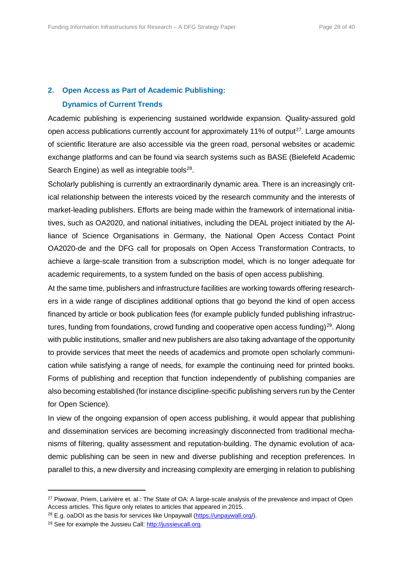## **2. Open Access as Part of Academic Publishing:**

#### **Dynamics of Current Trends**

Academic publishing is experiencing sustained worldwide expansion. Quality-assured gold open access publications currently account for approximately 11% of output<sup>[27](#page-27-0)</sup>. Large amounts of scientific literature are also accessible via the green road, personal websites or academic exchange platforms and can be found via search systems such as BASE (Bielefeld Academic Search Engine) as well as integrable tools $28$ .

Scholarly publishing is currently an extraordinarily dynamic area. There is an increasingly critical relationship between the interests voiced by the research community and the interests of market-leading publishers. Efforts are being made within the framework of international initiatives, such as OA2020, and national initiatives, including the DEAL project initiated by the Alliance of Science Organisations in Germany, the National Open Access Contact Point OA2020-de and the DFG call for proposals on Open Access Transformation Contracts, to achieve a large-scale transition from a subscription model, which is no longer adequate for academic requirements, to a system funded on the basis of open access publishing.

At the same time, publishers and infrastructure facilities are working towards offering researchers in a wide range of disciplines additional options that go beyond the kind of open access financed by article or book publication fees (for example publicly funded publishing infrastruc-tures, funding from foundations, crowd funding and cooperative open access funding)<sup>[29](#page-27-2)</sup>. Along with public institutions, smaller and new publishers are also taking advantage of the opportunity to provide services that meet the needs of academics and promote open scholarly communication while satisfying a range of needs, for example the continuing need for printed books. Forms of publishing and reception that function independently of publishing companies are also becoming established (for instance discipline-specific publishing servers run by the Center for Open Science).

In view of the ongoing expansion of open access publishing, it would appear that publishing and dissemination services are becoming increasingly disconnected from traditional mechanisms of filtering, quality assessment and reputation-building. The dynamic evolution of academic publishing can be seen in new and diverse publishing and reception preferences. In parallel to this, a new diversity and increasing complexity are emerging in relation to publishing

<span id="page-27-0"></span><sup>&</sup>lt;sup>27</sup> Piwowar, Priem, Larivière et. al.: The State of OA: A large-scale analysis of the prevalence and impact of Open Access articles. This figure only relates to articles that appeared in 2015.

<span id="page-27-1"></span> $28$  E.g. oaDOI as the basis for services like Unpaywall [\(https://unpaywall.org/\)](https://unpaywall.org/).

<span id="page-27-2"></span><sup>29</sup> See for example the Jussieu Call[: http://jussieucall.org.](http://jussieucall.org/)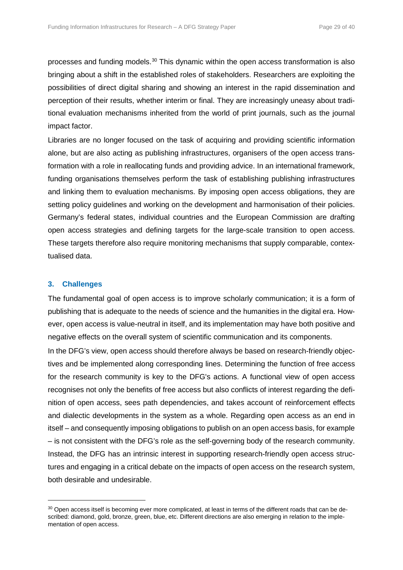processes and funding models.[30](#page-28-0) This dynamic within the open access transformation is also bringing about a shift in the established roles of stakeholders. Researchers are exploiting the possibilities of direct digital sharing and showing an interest in the rapid dissemination and perception of their results, whether interim or final. They are increasingly uneasy about traditional evaluation mechanisms inherited from the world of print journals, such as the journal impact factor.

Libraries are no longer focused on the task of acquiring and providing scientific information alone, but are also acting as publishing infrastructures, organisers of the open access transformation with a role in reallocating funds and providing advice. In an international framework, funding organisations themselves perform the task of establishing publishing infrastructures and linking them to evaluation mechanisms. By imposing open access obligations, they are setting policy guidelines and working on the development and harmonisation of their policies. Germany's federal states, individual countries and the European Commission are drafting open access strategies and defining targets for the large-scale transition to open access. These targets therefore also require monitoring mechanisms that supply comparable, contextualised data.

## **3. Challenges**

l

The fundamental goal of open access is to improve scholarly communication; it is a form of publishing that is adequate to the needs of science and the humanities in the digital era. However, open access is value-neutral in itself, and its implementation may have both positive and negative effects on the overall system of scientific communication and its components.

In the DFG's view, open access should therefore always be based on research-friendly objectives and be implemented along corresponding lines. Determining the function of free access for the research community is key to the DFG's actions. A functional view of open access recognises not only the benefits of free access but also conflicts of interest regarding the definition of open access, sees path dependencies, and takes account of reinforcement effects and dialectic developments in the system as a whole. Regarding open access as an end in itself – and consequently imposing obligations to publish on an open access basis, for example – is not consistent with the DFG's role as the self-governing body of the research community. Instead, the DFG has an intrinsic interest in supporting research-friendly open access structures and engaging in a critical debate on the impacts of open access on the research system, both desirable and undesirable.

<span id="page-28-0"></span><sup>&</sup>lt;sup>30</sup> Open access itself is becoming ever more complicated, at least in terms of the different roads that can be described: diamond, gold, bronze, green, blue, etc. Different directions are also emerging in relation to the implementation of open access.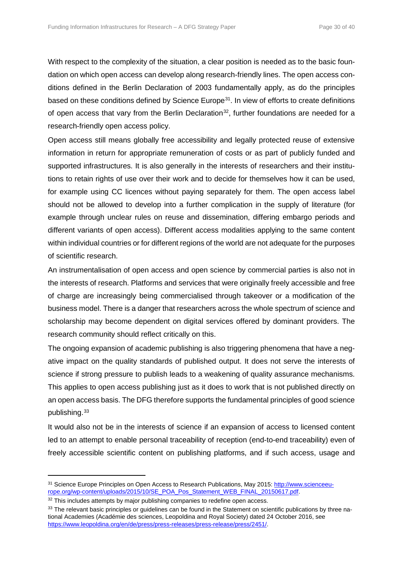With respect to the complexity of the situation, a clear position is needed as to the basic foundation on which open access can develop along research-friendly lines. The open access conditions defined in the Berlin Declaration of 2003 fundamentally apply, as do the principles based on these conditions defined by Science Europe<sup>[31](#page-29-0)</sup>. In view of efforts to create definitions of open access that vary from the Berlin Declaration<sup>32</sup>, further foundations are needed for a research-friendly open access policy.

Open access still means globally free accessibility and legally protected reuse of extensive information in return for appropriate remuneration of costs or as part of publicly funded and supported infrastructures. It is also generally in the interests of researchers and their institutions to retain rights of use over their work and to decide for themselves how it can be used, for example using CC licences without paying separately for them. The open access label should not be allowed to develop into a further complication in the supply of literature (for example through unclear rules on reuse and dissemination, differing embargo periods and different variants of open access). Different access modalities applying to the same content within individual countries or for different regions of the world are not adequate for the purposes of scientific research.

An instrumentalisation of open access and open science by commercial parties is also not in the interests of research. Platforms and services that were originally freely accessible and free of charge are increasingly being commercialised through takeover or a modification of the business model. There is a danger that researchers across the whole spectrum of science and scholarship may become dependent on digital services offered by dominant providers. The research community should reflect critically on this.

The ongoing expansion of academic publishing is also triggering phenomena that have a negative impact on the quality standards of published output. It does not serve the interests of science if strong pressure to publish leads to a weakening of quality assurance mechanisms. This applies to open access publishing just as it does to work that is not published directly on an open access basis. The DFG therefore supports the fundamental principles of good science publishing.<sup>[33](#page-29-2)</sup>

It would also not be in the interests of science if an expansion of access to licensed content led to an attempt to enable personal traceability of reception (end-to-end traceability) even of freely accessible scientific content on publishing platforms, and if such access, usage and

<span id="page-29-0"></span><sup>31</sup> Science Europe Principles on Open Access to Research Publications, May 2015: [http://www.scienceeu](http://www.scienceeurope.org/wp-content/uploads/2015/10/SE_POA_Pos_Statement_WEB_FINAL_20150617.pdf)[rope.org/wp-content/uploads/2015/10/SE\\_POA\\_Pos\\_Statement\\_WEB\\_FINAL\\_20150617.pdf.](http://www.scienceeurope.org/wp-content/uploads/2015/10/SE_POA_Pos_Statement_WEB_FINAL_20150617.pdf)

<span id="page-29-1"></span><sup>&</sup>lt;sup>32</sup> This includes attempts by major publishing companies to redefine open access.

<span id="page-29-2"></span><sup>&</sup>lt;sup>33</sup> The relevant basic principles or quidelines can be found in the Statement on scientific publications by three national Academies (Académie des sciences, Leopoldina and Royal Society) dated 24 October 2016, see [https://www.leopoldina.org/en/de/press/press-releases/press-release/press/2451/.](https://www.leopoldina.org/en/de/press/press-releases/press-release/press/2451/)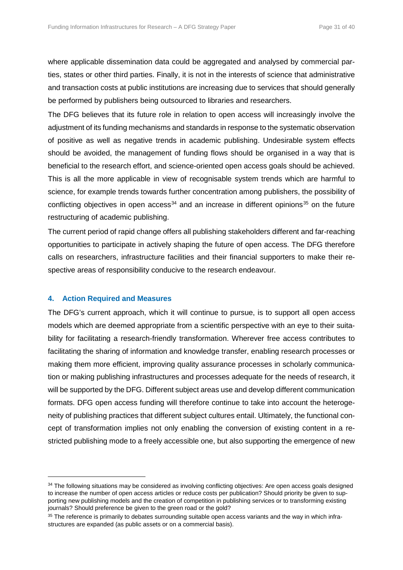where applicable dissemination data could be aggregated and analysed by commercial parties, states or other third parties. Finally, it is not in the interests of science that administrative and transaction costs at public institutions are increasing due to services that should generally be performed by publishers being outsourced to libraries and researchers.

The DFG believes that its future role in relation to open access will increasingly involve the adjustment of its funding mechanisms and standards in response to the systematic observation of positive as well as negative trends in academic publishing. Undesirable system effects should be avoided, the management of funding flows should be organised in a way that is beneficial to the research effort, and science-oriented open access goals should be achieved. This is all the more applicable in view of recognisable system trends which are harmful to science, for example trends towards further concentration among publishers, the possibility of conflicting objectives in open access<sup>[34](#page-30-0)</sup> and an increase in different opinions<sup>[35](#page-30-1)</sup> on the future restructuring of academic publishing.

The current period of rapid change offers all publishing stakeholders different and far-reaching opportunities to participate in actively shaping the future of open access. The DFG therefore calls on researchers, infrastructure facilities and their financial supporters to make their respective areas of responsibility conducive to the research endeavour.

# **4. Action Required and Measures**

 $\overline{a}$ 

The DFG's current approach, which it will continue to pursue, is to support all open access models which are deemed appropriate from a scientific perspective with an eye to their suitability for facilitating a research-friendly transformation. Wherever free access contributes to facilitating the sharing of information and knowledge transfer, enabling research processes or making them more efficient, improving quality assurance processes in scholarly communication or making publishing infrastructures and processes adequate for the needs of research, it will be supported by the DFG. Different subject areas use and develop different communication formats. DFG open access funding will therefore continue to take into account the heterogeneity of publishing practices that different subject cultures entail. Ultimately, the functional concept of transformation implies not only enabling the conversion of existing content in a restricted publishing mode to a freely accessible one, but also supporting the emergence of new

<span id="page-30-0"></span> $34$  The following situations may be considered as involving conflicting objectives: Are open access goals designed to increase the number of open access articles or reduce costs per publication? Should priority be given to supporting new publishing models and the creation of competition in publishing services or to transforming existing journals? Should preference be given to the green road or the gold?

<span id="page-30-1"></span><sup>&</sup>lt;sup>35</sup> The reference is primarily to debates surrounding suitable open access variants and the way in which infrastructures are expanded (as public assets or on a commercial basis).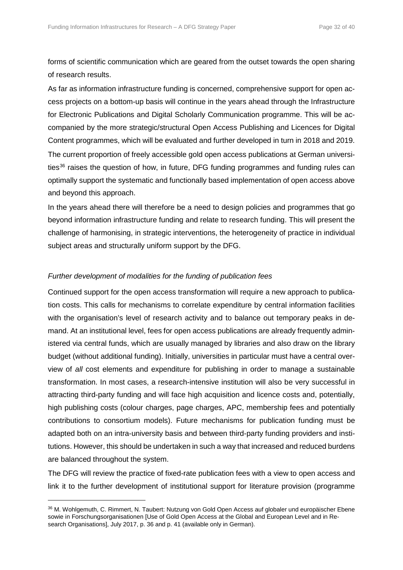forms of scientific communication which are geared from the outset towards the open sharing of research results.

As far as information infrastructure funding is concerned, comprehensive support for open access projects on a bottom-up basis will continue in the years ahead through the Infrastructure for Electronic Publications and Digital Scholarly Communication programme. This will be accompanied by the more strategic/structural Open Access Publishing and Licences for Digital Content programmes, which will be evaluated and further developed in turn in 2018 and 2019. The current proportion of freely accessible gold open access publications at German universi-ties<sup>[36](#page-31-0)</sup> raises the question of how, in future, DFG funding programmes and funding rules can optimally support the systematic and functionally based implementation of open access above and beyond this approach.

In the years ahead there will therefore be a need to design policies and programmes that go beyond information infrastructure funding and relate to research funding. This will present the challenge of harmonising, in strategic interventions, the heterogeneity of practice in individual subject areas and structurally uniform support by the DFG.

## *Further development of modalities for the funding of publication fees*

l

Continued support for the open access transformation will require a new approach to publication costs. This calls for mechanisms to correlate expenditure by central information facilities with the organisation's level of research activity and to balance out temporary peaks in demand. At an institutional level, fees for open access publications are already frequently administered via central funds, which are usually managed by libraries and also draw on the library budget (without additional funding). Initially, universities in particular must have a central overview of *all* cost elements and expenditure for publishing in order to manage a sustainable transformation. In most cases, a research-intensive institution will also be very successful in attracting third-party funding and will face high acquisition and licence costs and, potentially, high publishing costs (colour charges, page charges, APC, membership fees and potentially contributions to consortium models). Future mechanisms for publication funding must be adapted both on an intra-university basis and between third-party funding providers and institutions. However, this should be undertaken in such a way that increased and reduced burdens are balanced throughout the system.

The DFG will review the practice of fixed-rate publication fees with a view to open access and link it to the further development of institutional support for literature provision (programme

<span id="page-31-0"></span><sup>36</sup> M. Wohlgemuth, C. Rimmert, N. Taubert: Nutzung von Gold Open Access auf globaler und europäischer Ebene sowie in Forschungsorganisationen [Use of Gold Open Access at the Global and European Level and in Research Organisations], July 2017, p. 36 and p. 41 (available only in German).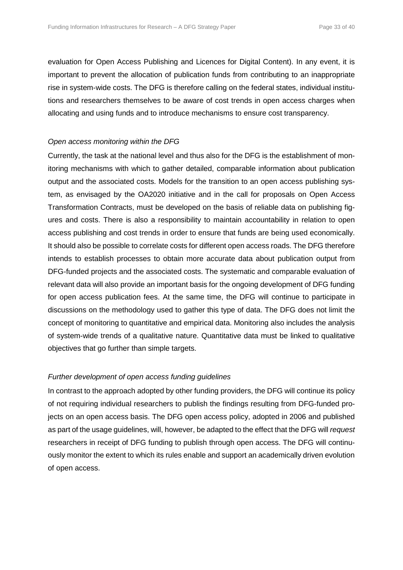evaluation for Open Access Publishing and Licences for Digital Content). In any event, it is important to prevent the allocation of publication funds from contributing to an inappropriate rise in system-wide costs. The DFG is therefore calling on the federal states, individual institutions and researchers themselves to be aware of cost trends in open access charges when allocating and using funds and to introduce mechanisms to ensure cost transparency.

## *Open access monitoring within the DFG*

Currently, the task at the national level and thus also for the DFG is the establishment of monitoring mechanisms with which to gather detailed, comparable information about publication output and the associated costs. Models for the transition to an open access publishing system, as envisaged by the OA2020 initiative and in the call for proposals on Open Access Transformation Contracts, must be developed on the basis of reliable data on publishing figures and costs. There is also a responsibility to maintain accountability in relation to open access publishing and cost trends in order to ensure that funds are being used economically. It should also be possible to correlate costs for different open access roads. The DFG therefore intends to establish processes to obtain more accurate data about publication output from DFG-funded projects and the associated costs. The systematic and comparable evaluation of relevant data will also provide an important basis for the ongoing development of DFG funding for open access publication fees. At the same time, the DFG will continue to participate in discussions on the methodology used to gather this type of data. The DFG does not limit the concept of monitoring to quantitative and empirical data. Monitoring also includes the analysis of system-wide trends of a qualitative nature. Quantitative data must be linked to qualitative objectives that go further than simple targets.

# *Further development of open access funding guidelines*

In contrast to the approach adopted by other funding providers, the DFG will continue its policy of not requiring individual researchers to publish the findings resulting from DFG-funded projects on an open access basis. The DFG open access policy, adopted in 2006 and published as part of the usage guidelines, will, however, be adapted to the effect that the DFG will *request* researchers in receipt of DFG funding to publish through open access. The DFG will continuously monitor the extent to which its rules enable and support an academically driven evolution of open access.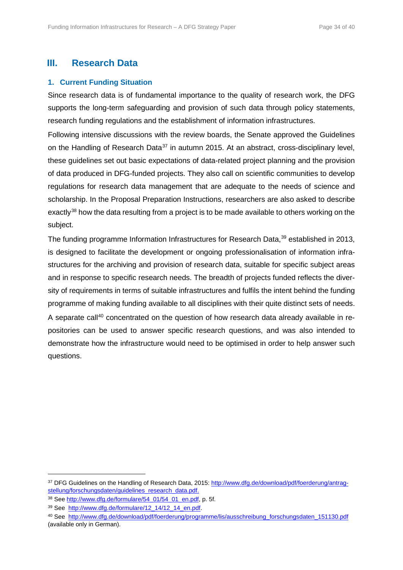# **III. Research Data**

# **1. Current Funding Situation**

Since research data is of fundamental importance to the quality of research work, the DFG supports the long-term safeguarding and provision of such data through policy statements, research funding regulations and the establishment of information infrastructures.

Following intensive discussions with the review boards, the Senate approved the Guidelines on the Handling of Research Data<sup>[37](#page-33-0)</sup> in autumn 2015. At an abstract, cross-disciplinary level, these guidelines set out basic expectations of data-related project planning and the provision of data produced in DFG-funded projects. They also call on scientific communities to develop regulations for research data management that are adequate to the needs of science and scholarship. In the Proposal Preparation Instructions, researchers are also asked to describe exactly<sup>[38](#page-33-1)</sup> how the data resulting from a project is to be made available to others working on the subject.

The funding programme Information Infrastructures for Research Data,<sup>[39](#page-33-2)</sup> established in 2013, is designed to facilitate the development or ongoing professionalisation of information infrastructures for the archiving and provision of research data, suitable for specific subject areas and in response to specific research needs. The breadth of projects funded reflects the diversity of requirements in terms of suitable infrastructures and fulfils the intent behind the funding programme of making funding available to all disciplines with their quite distinct sets of needs. A separate call<sup>[40](#page-33-3)</sup> concentrated on the question of how research data already available in repositories can be used to answer specific research questions, and was also intended to demonstrate how the infrastructure would need to be optimised in order to help answer such questions.

<span id="page-33-0"></span><sup>37</sup> DFG Guidelines on the Handling of Research Data, 2015: [http://www.dfg.de/download/pdf/foerderung/antrag](http://www.dfg.de/download/pdf/foerderung/antragstellung/forschungsdaten/guidelines_research_data.pdf)[stellung/forschungsdaten/guidelines\\_research\\_data.pdf.](http://www.dfg.de/download/pdf/foerderung/antragstellung/forschungsdaten/guidelines_research_data.pdf)

<span id="page-33-1"></span><sup>38</sup> Se[e http://www.dfg.de/formulare/54\\_01/54\\_01\\_en.pdf,](http://www.dfg.de/formulare/54_01/54_01_en.pdf) p. 5f.

<span id="page-33-2"></span><sup>&</sup>lt;sup>39</sup> See [http://www.dfg.de/formulare/12\\_14/12\\_14\\_en.pdf.](http://www.dfg.de/formulare/12_14/12_14_en.pdf)

<span id="page-33-3"></span><sup>40</sup> See [http://www.dfg.de/download/pdf/foerderung/programme/lis/ausschreibung\\_forschungsdaten\\_151130.pdf](http://www.dfg.de/download/pdf/foerderung/programme/lis/ausschreibung_forschungsdaten_151130.pdf) (available only in German).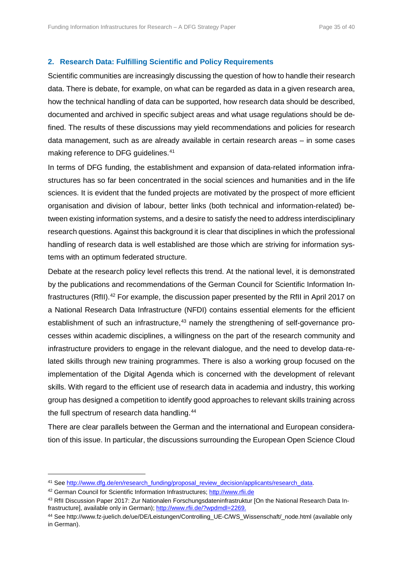#### **2. Research Data: Fulfilling Scientific and Policy Requirements**

Scientific communities are increasingly discussing the question of how to handle their research data. There is debate, for example, on what can be regarded as data in a given research area, how the technical handling of data can be supported, how research data should be described, documented and archived in specific subject areas and what usage regulations should be defined. The results of these discussions may yield recommendations and policies for research data management, such as are already available in certain research areas – in some cases making reference to DFG guidelines.<sup>[41](#page-34-0)</sup>

In terms of DFG funding, the establishment and expansion of data-related information infrastructures has so far been concentrated in the social sciences and humanities and in the life sciences. It is evident that the funded projects are motivated by the prospect of more efficient organisation and division of labour, better links (both technical and information-related) between existing information systems, and a desire to satisfy the need to address interdisciplinary research questions. Against this background it is clear that disciplines in which the professional handling of research data is well established are those which are striving for information systems with an optimum federated structure.

Debate at the research policy level reflects this trend. At the national level, it is demonstrated by the publications and recommendations of the German Council for Scientific Information In-frastructures (RfII).<sup>[42](#page-34-1)</sup> For example, the discussion paper presented by the RfII in April 2017 on a National Research Data Infrastructure (NFDI) contains essential elements for the efficient establishment of such an infrastructure, $43$  namely the strengthening of self-governance processes within academic disciplines, a willingness on the part of the research community and infrastructure providers to engage in the relevant dialogue, and the need to develop data-related skills through new training programmes. There is also a working group focused on the implementation of the Digital Agenda which is concerned with the development of relevant skills. With regard to the efficient use of research data in academia and industry, this working group has designed a competition to identify good approaches to relevant skills training across the full spectrum of research data handling.<sup>[44](#page-34-3)</sup>

There are clear parallels between the German and the international and European consideration of this issue. In particular, the discussions surrounding the European Open Science Cloud

<span id="page-34-0"></span><sup>&</sup>lt;sup>41</sup> Se[e http://www.dfg.de/en/research\\_funding/proposal\\_review\\_decision/applicants/research\\_data.](http://www.dfg.de/en/research_funding/proposal_review_decision/applicants/research_data/index.html)

<span id="page-34-1"></span><sup>42</sup> German Council for Scientific Information Infrastructures; [http://www.rfii.de](http://www.rfii.de/)

<span id="page-34-2"></span><sup>43</sup> RfII Discussion Paper 2017: Zur Nationalen Forschungsdateninfrastruktur [On the National Research Data Infrastructure], available only in German); [http://www.rfii.de/?wpdmdl=2269.](http://www.rfii.de/?wpdmdl=2269)

<span id="page-34-3"></span><sup>44</sup> See http://www.fz-juelich.de/ue/DE/Leistungen/Controlling\_UE-C/WS\_Wissenschaft/\_node.html (available only in German).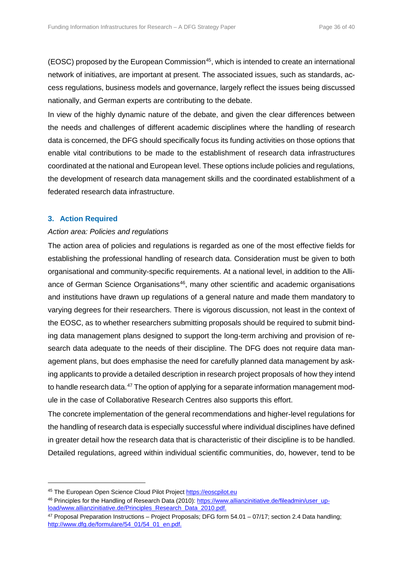(EOSC) proposed by the European Commission<sup>[45](#page-35-0)</sup>, which is intended to create an international network of initiatives, are important at present. The associated issues, such as standards, access regulations, business models and governance, largely reflect the issues being discussed nationally, and German experts are contributing to the debate.

In view of the highly dynamic nature of the debate, and given the clear differences between the needs and challenges of different academic disciplines where the handling of research data is concerned, the DFG should specifically focus its funding activities on those options that enable vital contributions to be made to the establishment of research data infrastructures coordinated at the national and European level. These options include policies and regulations, the development of research data management skills and the coordinated establishment of a federated research data infrastructure.

# **3. Action Required**

l

## *Action area: Policies and regulations*

The action area of policies and regulations is regarded as one of the most effective fields for establishing the professional handling of research data. Consideration must be given to both organisational and community-specific requirements. At a national level, in addition to the Alliance of German Science Organisations<sup>46</sup>, many other scientific and academic organisations and institutions have drawn up regulations of a general nature and made them mandatory to varying degrees for their researchers. There is vigorous discussion, not least in the context of the EOSC, as to whether researchers submitting proposals should be required to submit binding data management plans designed to support the long-term archiving and provision of research data adequate to the needs of their discipline. The DFG does not require data management plans, but does emphasise the need for carefully planned data management by asking applicants to provide a detailed description in research project proposals of how they intend to handle research data.<sup>[47](#page-35-2)</sup> The option of applying for a separate information management module in the case of Collaborative Research Centres also supports this effort.

The concrete implementation of the general recommendations and higher-level regulations for the handling of research data is especially successful where individual disciplines have defined in greater detail how the research data that is characteristic of their discipline is to be handled. Detailed regulations, agreed within individual scientific communities, do, however, tend to be

<span id="page-35-0"></span><sup>45</sup> The European Open Science Cloud Pilot Project [https://eoscpilot.eu](https://eoscpilot.eu/)

<span id="page-35-1"></span><sup>46</sup> Principles for the Handling of Research Data (2010): [https://www.allianzinitiative.de/fileadmin/user\\_up](https://www.allianzinitiative.de/fileadmin/user_upload/www.allianzinitiative.de/Principles_Research_Data_2010.pdf)[load/www.allianzinitiative.de/Principles\\_Research\\_Data\\_2010.pdf.](https://www.allianzinitiative.de/fileadmin/user_upload/www.allianzinitiative.de/Principles_Research_Data_2010.pdf)

<span id="page-35-2"></span> $47$  Proposal Preparation Instructions – Project Proposals; DFG form  $54.01 - 07/17$ ; section 2.4 Data handling; [http://www.dfg.de/formulare/54\\_01/54\\_01\\_en.pdf.](http://www.dfg.de/formulare/54_01/54_01_en.pdf)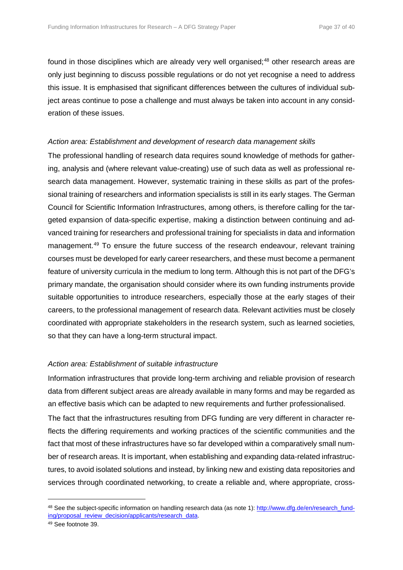found in those disciplines which are already very well organised;<sup>[48](#page-36-0)</sup> other research areas are only just beginning to discuss possible regulations or do not yet recognise a need to address this issue. It is emphasised that significant differences between the cultures of individual subject areas continue to pose a challenge and must always be taken into account in any consideration of these issues.

# *Action area: Establishment and development of research data management skills*

The professional handling of research data requires sound knowledge of methods for gathering, analysis and (where relevant value-creating) use of such data as well as professional research data management. However, systematic training in these skills as part of the professional training of researchers and information specialists is still in its early stages. The German Council for Scientific Information Infrastructures, among others, is therefore calling for the targeted expansion of data-specific expertise, making a distinction between continuing and advanced training for researchers and professional training for specialists in data and information management.<sup>[49](#page-36-1)</sup> To ensure the future success of the research endeavour, relevant training courses must be developed for early career researchers, and these must become a permanent feature of university curricula in the medium to long term. Although this is not part of the DFG's primary mandate, the organisation should consider where its own funding instruments provide suitable opportunities to introduce researchers, especially those at the early stages of their careers, to the professional management of research data. Relevant activities must be closely coordinated with appropriate stakeholders in the research system, such as learned societies, so that they can have a long-term structural impact.

# *Action area: Establishment of suitable infrastructure*

Information infrastructures that provide long-term archiving and reliable provision of research data from different subject areas are already available in many forms and may be regarded as an effective basis which can be adapted to new requirements and further professionalised. The fact that the infrastructures resulting from DFG funding are very different in character reflects the differing requirements and working practices of the scientific communities and the fact that most of these infrastructures have so far developed within a comparatively small number of research areas. It is important, when establishing and expanding data-related infrastructures, to avoid isolated solutions and instead, by linking new and existing data repositories and services through coordinated networking, to create a reliable and, where appropriate, cross-

<span id="page-36-0"></span><sup>48</sup> See the subject-specific information on handling research data (as note 1): [http://www.dfg.de/en/research\\_fund](http://www.dfg.de/en/research_funding/proposal_review_decision/applicants/research_data/index.html)[ing/proposal\\_review\\_decision/applicants/research\\_data.](http://www.dfg.de/en/research_funding/proposal_review_decision/applicants/research_data/index.html)

<span id="page-36-1"></span><sup>49</sup> See footnote 39.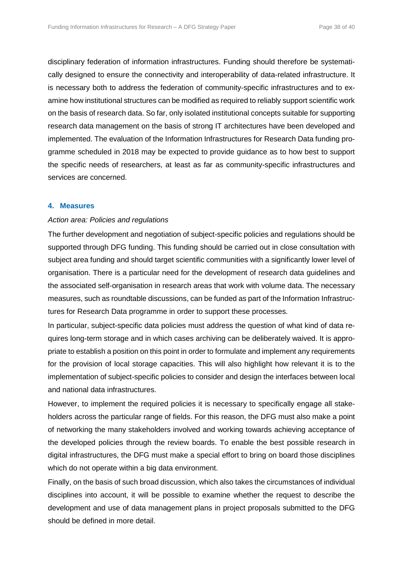disciplinary federation of information infrastructures. Funding should therefore be systematically designed to ensure the connectivity and interoperability of data-related infrastructure. It is necessary both to address the federation of community-specific infrastructures and to examine how institutional structures can be modified as required to reliably support scientific work on the basis of research data. So far, only isolated institutional concepts suitable for supporting research data management on the basis of strong IT architectures have been developed and implemented. The evaluation of the Information Infrastructures for Research Data funding programme scheduled in 2018 may be expected to provide guidance as to how best to support the specific needs of researchers, at least as far as community-specific infrastructures and services are concerned.

## **4. Measures**

## *Action area: Policies and regulations*

The further development and negotiation of subject-specific policies and regulations should be supported through DFG funding. This funding should be carried out in close consultation with subject area funding and should target scientific communities with a significantly lower level of organisation. There is a particular need for the development of research data guidelines and the associated self-organisation in research areas that work with volume data. The necessary measures, such as roundtable discussions, can be funded as part of the Information Infrastructures for Research Data programme in order to support these processes.

In particular, subject-specific data policies must address the question of what kind of data requires long-term storage and in which cases archiving can be deliberately waived. It is appropriate to establish a position on this point in order to formulate and implement any requirements for the provision of local storage capacities. This will also highlight how relevant it is to the implementation of subject-specific policies to consider and design the interfaces between local and national data infrastructures.

However, to implement the required policies it is necessary to specifically engage all stakeholders across the particular range of fields. For this reason, the DFG must also make a point of networking the many stakeholders involved and working towards achieving acceptance of the developed policies through the review boards. To enable the best possible research in digital infrastructures, the DFG must make a special effort to bring on board those disciplines which do not operate within a big data environment.

Finally, on the basis of such broad discussion, which also takes the circumstances of individual disciplines into account, it will be possible to examine whether the request to describe the development and use of data management plans in project proposals submitted to the DFG should be defined in more detail.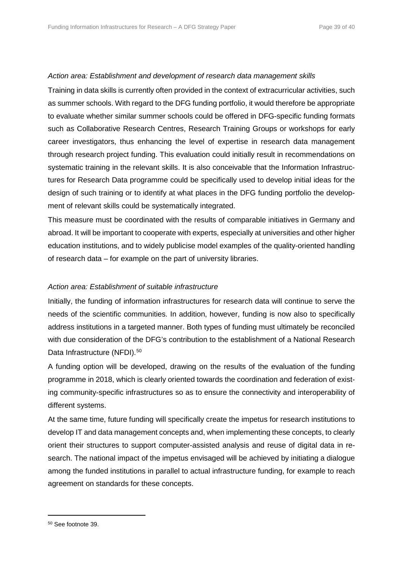# *Action area: Establishment and development of research data management skills*

Training in data skills is currently often provided in the context of extracurricular activities, such as summer schools. With regard to the DFG funding portfolio, it would therefore be appropriate to evaluate whether similar summer schools could be offered in DFG-specific funding formats such as Collaborative Research Centres, Research Training Groups or workshops for early career investigators, thus enhancing the level of expertise in research data management through research project funding. This evaluation could initially result in recommendations on systematic training in the relevant skills. It is also conceivable that the Information Infrastructures for Research Data programme could be specifically used to develop initial ideas for the design of such training or to identify at what places in the DFG funding portfolio the development of relevant skills could be systematically integrated.

This measure must be coordinated with the results of comparable initiatives in Germany and abroad. It will be important to cooperate with experts, especially at universities and other higher education institutions, and to widely publicise model examples of the quality-oriented handling of research data – for example on the part of university libraries.

# *Action area: Establishment of suitable infrastructure*

Initially, the funding of information infrastructures for research data will continue to serve the needs of the scientific communities. In addition, however, funding is now also to specifically address institutions in a targeted manner. Both types of funding must ultimately be reconciled with due consideration of the DFG's contribution to the establishment of a National Research Data Infrastructure (NFDI).<sup>[50](#page-38-0)</sup>

A funding option will be developed, drawing on the results of the evaluation of the funding programme in 2018, which is clearly oriented towards the coordination and federation of existing community-specific infrastructures so as to ensure the connectivity and interoperability of different systems.

At the same time, future funding will specifically create the impetus for research institutions to develop IT and data management concepts and, when implementing these concepts, to clearly orient their structures to support computer-assisted analysis and reuse of digital data in research. The national impact of the impetus envisaged will be achieved by initiating a dialogue among the funded institutions in parallel to actual infrastructure funding, for example to reach agreement on standards for these concepts.

<span id="page-38-0"></span><sup>50</sup> See footnote 39.